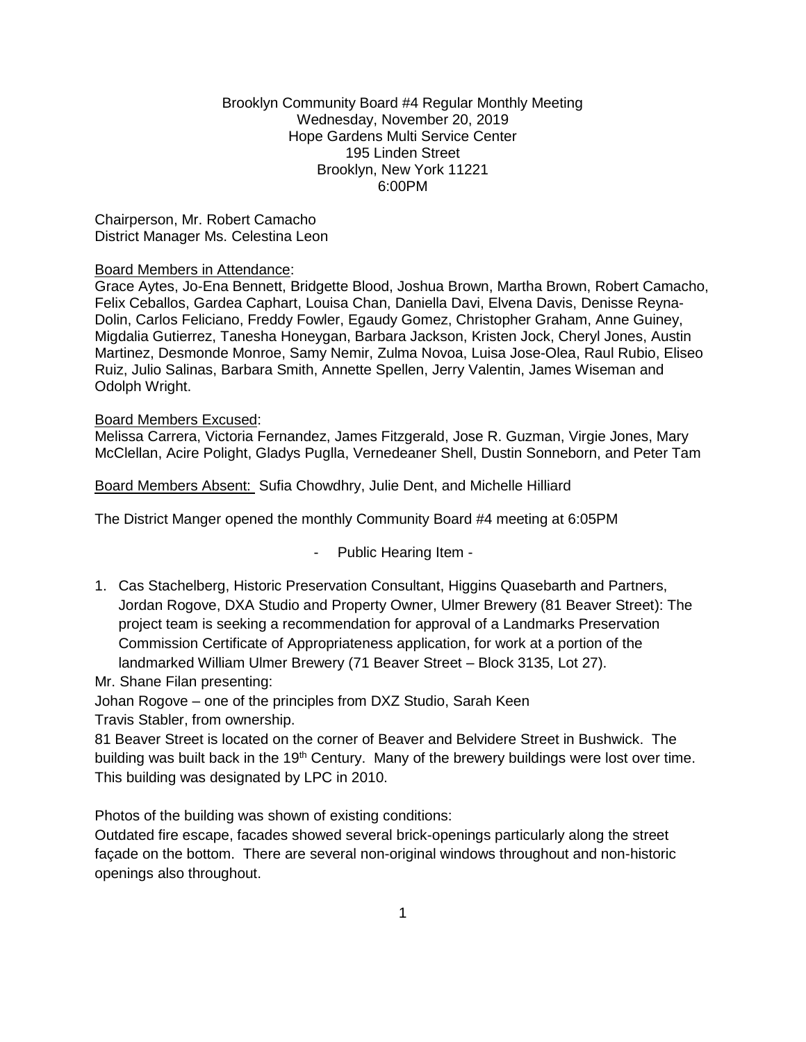### Brooklyn Community Board #4 Regular Monthly Meeting Wednesday, November 20, 2019 Hope Gardens Multi Service Center 195 Linden Street Brooklyn, New York 11221 6:00PM

Chairperson, Mr. Robert Camacho District Manager Ms. Celestina Leon

#### Board Members in Attendance:

Grace Aytes, Jo-Ena Bennett, Bridgette Blood, Joshua Brown, Martha Brown, Robert Camacho, Felix Ceballos, Gardea Caphart, Louisa Chan, Daniella Davi, Elvena Davis, Denisse Reyna-Dolin, Carlos Feliciano, Freddy Fowler, Egaudy Gomez, Christopher Graham, Anne Guiney, Migdalia Gutierrez, Tanesha Honeygan, Barbara Jackson, Kristen Jock, Cheryl Jones, Austin Martinez, Desmonde Monroe, Samy Nemir, Zulma Novoa, Luisa Jose-Olea, Raul Rubio, Eliseo Ruiz, Julio Salinas, Barbara Smith, Annette Spellen, Jerry Valentin, James Wiseman and Odolph Wright.

#### Board Members Excused:

Melissa Carrera, Victoria Fernandez, James Fitzgerald, Jose R. Guzman, Virgie Jones, Mary McClellan, Acire Polight, Gladys Puglla, Vernedeaner Shell, Dustin Sonneborn, and Peter Tam

Board Members Absent: Sufia Chowdhry, Julie Dent, and Michelle Hilliard

The District Manger opened the monthly Community Board #4 meeting at 6:05PM

### - Public Hearing Item -

1. Cas Stachelberg, Historic Preservation Consultant, Higgins Quasebarth and Partners, Jordan Rogove, DXA Studio and Property Owner, Ulmer Brewery (81 Beaver Street): The project team is seeking a recommendation for approval of a Landmarks Preservation Commission Certificate of Appropriateness application, for work at a portion of the landmarked William Ulmer Brewery (71 Beaver Street – Block 3135, Lot 27).

Mr. Shane Filan presenting:

Johan Rogove – one of the principles from DXZ Studio, Sarah Keen Travis Stabler, from ownership.

81 Beaver Street is located on the corner of Beaver and Belvidere Street in Bushwick. The building was built back in the 19<sup>th</sup> Century. Many of the brewery buildings were lost over time. This building was designated by LPC in 2010.

Photos of the building was shown of existing conditions:

Outdated fire escape, facades showed several brick-openings particularly along the street façade on the bottom. There are several non-original windows throughout and non-historic openings also throughout.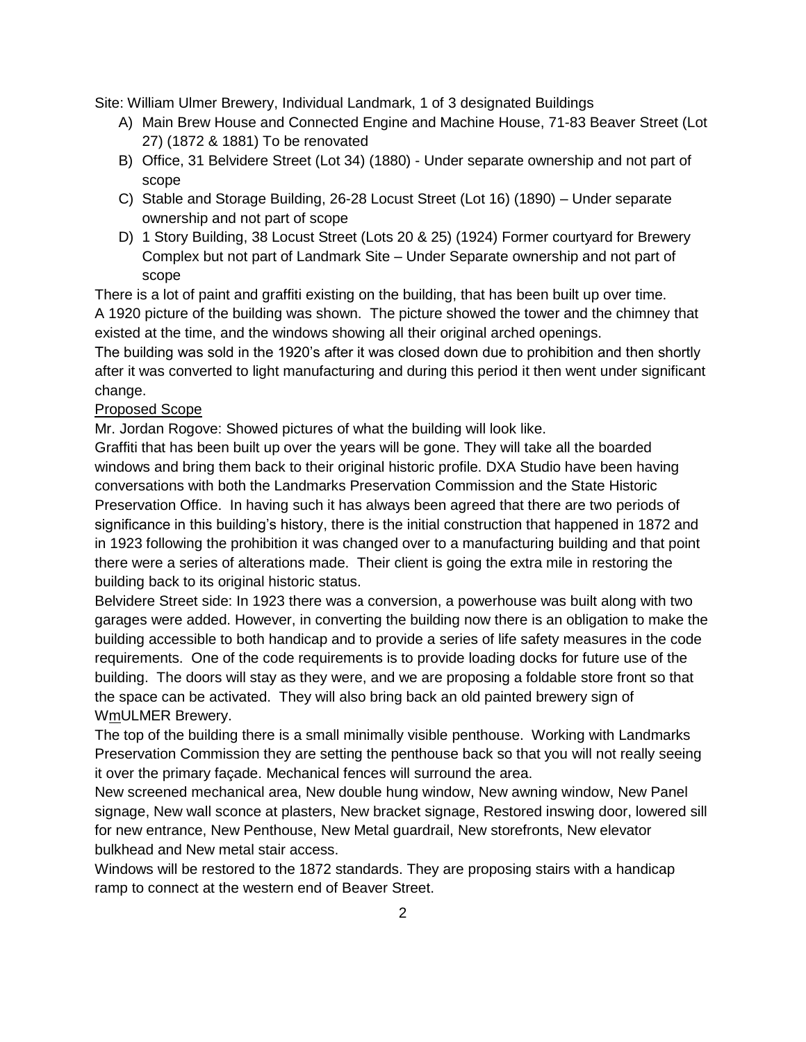Site: William Ulmer Brewery, Individual Landmark, 1 of 3 designated Buildings

- A) Main Brew House and Connected Engine and Machine House, 71-83 Beaver Street (Lot 27) (1872 & 1881) To be renovated
- B) Office, 31 Belvidere Street (Lot 34) (1880) Under separate ownership and not part of scope
- C) Stable and Storage Building, 26-28 Locust Street (Lot 16) (1890) Under separate ownership and not part of scope
- D) 1 Story Building, 38 Locust Street (Lots 20 & 25) (1924) Former courtyard for Brewery Complex but not part of Landmark Site – Under Separate ownership and not part of scope

There is a lot of paint and graffiti existing on the building, that has been built up over time. A 1920 picture of the building was shown. The picture showed the tower and the chimney that existed at the time, and the windows showing all their original arched openings.

The building was sold in the 1920's after it was closed down due to prohibition and then shortly after it was converted to light manufacturing and during this period it then went under significant change.

### Proposed Scope

Mr. Jordan Rogove: Showed pictures of what the building will look like.

Graffiti that has been built up over the years will be gone. They will take all the boarded windows and bring them back to their original historic profile. DXA Studio have been having conversations with both the Landmarks Preservation Commission and the State Historic Preservation Office. In having such it has always been agreed that there are two periods of significance in this building's history, there is the initial construction that happened in 1872 and in 1923 following the prohibition it was changed over to a manufacturing building and that point there were a series of alterations made. Their client is going the extra mile in restoring the building back to its original historic status.

Belvidere Street side: In 1923 there was a conversion, a powerhouse was built along with two garages were added. However, in converting the building now there is an obligation to make the building accessible to both handicap and to provide a series of life safety measures in the code requirements. One of the code requirements is to provide loading docks for future use of the building. The doors will stay as they were, and we are proposing a foldable store front so that the space can be activated. They will also bring back an old painted brewery sign of WmULMER Brewery.

The top of the building there is a small minimally visible penthouse. Working with Landmarks Preservation Commission they are setting the penthouse back so that you will not really seeing it over the primary façade. Mechanical fences will surround the area.

New screened mechanical area, New double hung window, New awning window, New Panel signage, New wall sconce at plasters, New bracket signage, Restored inswing door, lowered sill for new entrance, New Penthouse, New Metal guardrail, New storefronts, New elevator bulkhead and New metal stair access.

Windows will be restored to the 1872 standards. They are proposing stairs with a handicap ramp to connect at the western end of Beaver Street.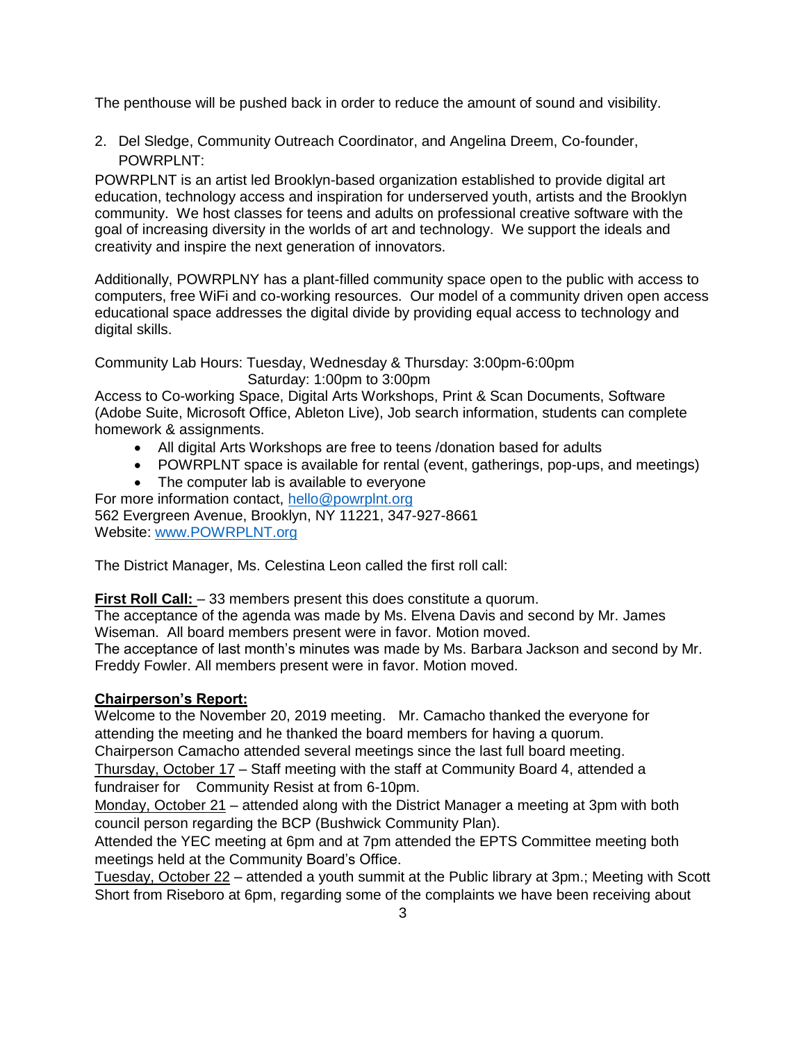The penthouse will be pushed back in order to reduce the amount of sound and visibility.

2. Del Sledge, Community Outreach Coordinator, and Angelina Dreem, Co-founder, POWRPLNT:

POWRPLNT is an artist led Brooklyn-based organization established to provide digital art education, technology access and inspiration for underserved youth, artists and the Brooklyn community. We host classes for teens and adults on professional creative software with the goal of increasing diversity in the worlds of art and technology. We support the ideals and creativity and inspire the next generation of innovators.

Additionally, POWRPLNY has a plant-filled community space open to the public with access to computers, free WiFi and co-working resources. Our model of a community driven open access educational space addresses the digital divide by providing equal access to technology and digital skills.

Community Lab Hours: Tuesday, Wednesday & Thursday: 3:00pm-6:00pm Saturday: 1:00pm to 3:00pm

Access to Co-working Space, Digital Arts Workshops, Print & Scan Documents, Software (Adobe Suite, Microsoft Office, Ableton Live), Job search information, students can complete homework & assignments.

- All digital Arts Workshops are free to teens /donation based for adults
- POWRPLNT space is available for rental (event, gatherings, pop-ups, and meetings)
- The computer lab is available to everyone

For more information contact, [hello@powrplnt.org](mailto:hello@powrplnt.org) 562 Evergreen Avenue, Brooklyn, NY 11221, 347-927-8661

Website: [www.POWRPLNT.org](http://www.powrplnt.org/) 

The District Manager, Ms. Celestina Leon called the first roll call:

**First Roll Call:**  $-33$  members present this does constitute a quorum.

The acceptance of the agenda was made by Ms. Elvena Davis and second by Mr. James Wiseman. All board members present were in favor. Motion moved.

The acceptance of last month's minutes was made by Ms. Barbara Jackson and second by Mr. Freddy Fowler. All members present were in favor. Motion moved.

# **Chairperson's Report:**

Welcome to the November 20, 2019 meeting. Mr. Camacho thanked the everyone for attending the meeting and he thanked the board members for having a quorum.

Chairperson Camacho attended several meetings since the last full board meeting.

Thursday, October 17 – Staff meeting with the staff at Community Board 4, attended a fundraiser for Community Resist at from 6-10pm.

Monday, October 21 – attended along with the District Manager a meeting at 3pm with both council person regarding the BCP (Bushwick Community Plan).

Attended the YEC meeting at 6pm and at 7pm attended the EPTS Committee meeting both meetings held at the Community Board's Office.

Tuesday, October 22 – attended a youth summit at the Public library at 3pm.; Meeting with Scott Short from Riseboro at 6pm, regarding some of the complaints we have been receiving about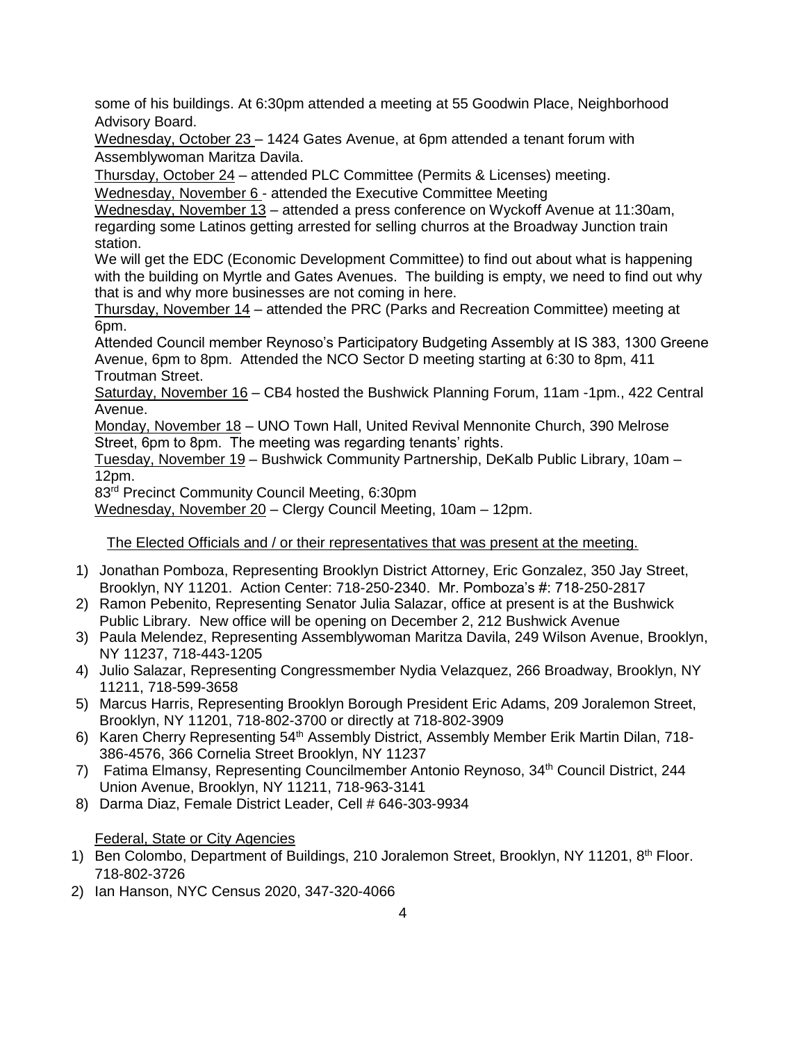some of his buildings. At 6:30pm attended a meeting at 55 Goodwin Place, Neighborhood Advisory Board.

Wednesday, October 23 – 1424 Gates Avenue, at 6pm attended a tenant forum with Assemblywoman Maritza Davila.

Thursday, October 24 – attended PLC Committee (Permits & Licenses) meeting.

Wednesday, November 6 - attended the Executive Committee Meeting

Wednesday, November 13 – attended a press conference on Wyckoff Avenue at 11:30am, regarding some Latinos getting arrested for selling churros at the Broadway Junction train station.

We will get the EDC (Economic Development Committee) to find out about what is happening with the building on Myrtle and Gates Avenues. The building is empty, we need to find out why that is and why more businesses are not coming in here.

Thursday, November 14 – attended the PRC (Parks and Recreation Committee) meeting at 6pm.

Attended Council member Reynoso's Participatory Budgeting Assembly at IS 383, 1300 Greene Avenue, 6pm to 8pm. Attended the NCO Sector D meeting starting at 6:30 to 8pm, 411 Troutman Street.

Saturday, November 16 – CB4 hosted the Bushwick Planning Forum, 11am -1pm., 422 Central Avenue.

Monday, November 18 – UNO Town Hall, United Revival Mennonite Church, 390 Melrose Street, 6pm to 8pm. The meeting was regarding tenants' rights.

Tuesday, November 19 – Bushwick Community Partnership, DeKalb Public Library, 10am – 12pm.

83rd Precinct Community Council Meeting, 6:30pm

Wednesday, November 20 – Clergy Council Meeting, 10am – 12pm.

The Elected Officials and / or their representatives that was present at the meeting.

- 1) Jonathan Pomboza, Representing Brooklyn District Attorney, Eric Gonzalez, 350 Jay Street, Brooklyn, NY 11201. Action Center: 718-250-2340. Mr. Pomboza's #: 718-250-2817
- 2) Ramon Pebenito, Representing Senator Julia Salazar, office at present is at the Bushwick Public Library. New office will be opening on December 2, 212 Bushwick Avenue
- 3) Paula Melendez, Representing Assemblywoman Maritza Davila, 249 Wilson Avenue, Brooklyn, NY 11237, 718-443-1205
- 4) Julio Salazar, Representing Congressmember Nydia Velazquez, 266 Broadway, Brooklyn, NY 11211, 718-599-3658
- 5) Marcus Harris, Representing Brooklyn Borough President Eric Adams, 209 Joralemon Street, Brooklyn, NY 11201, 718-802-3700 or directly at 718-802-3909
- 6) Karen Cherry Representing 54<sup>th</sup> Assembly District, Assembly Member Erik Martin Dilan, 718-386-4576, 366 Cornelia Street Brooklyn, NY 11237
- 7) Fatima Elmansy, Representing Councilmember Antonio Reynoso, 34th Council District, 244 Union Avenue, Brooklyn, NY 11211, 718-963-3141
- 8) Darma Diaz, Female District Leader, Cell # 646-303-9934

# Federal, State or City Agencies

- 1) Ben Colombo, Department of Buildings, 210 Joralemon Street, Brooklyn, NY 11201, 8<sup>th</sup> Floor. 718-802-3726
- 2) Ian Hanson, NYC Census 2020, 347-320-4066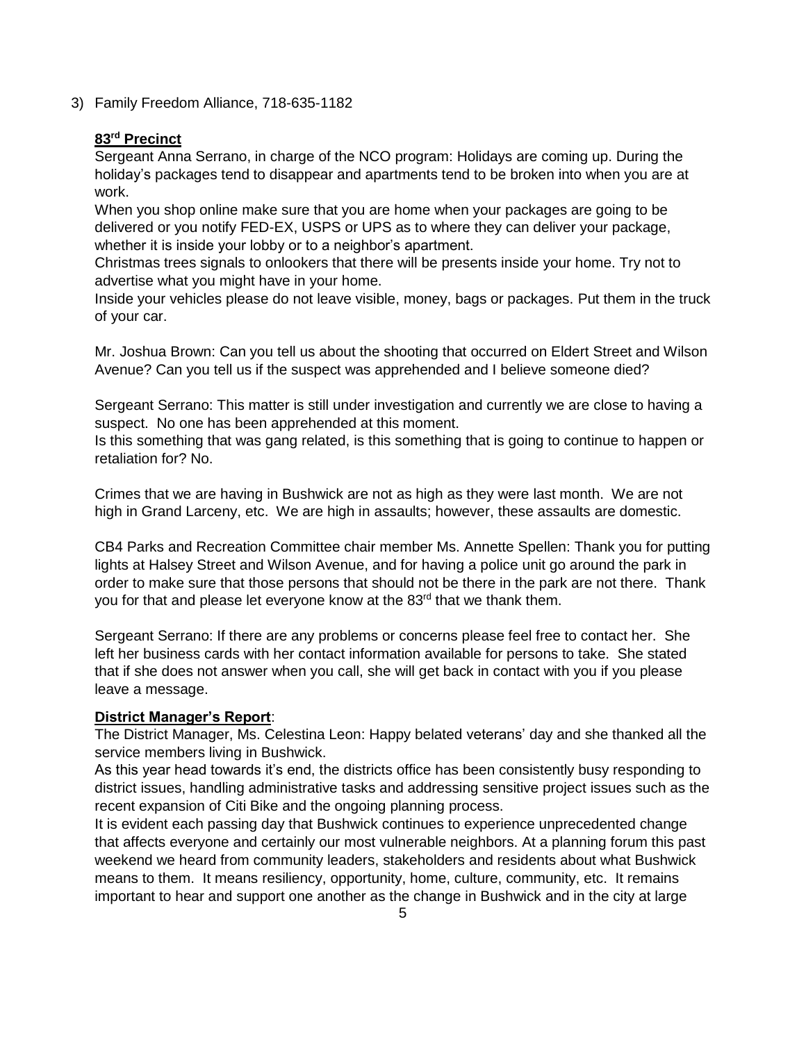3) Family Freedom Alliance, 718-635-1182

## **83rd Precinct**

Sergeant Anna Serrano, in charge of the NCO program: Holidays are coming up. During the holiday's packages tend to disappear and apartments tend to be broken into when you are at work.

When you shop online make sure that you are home when your packages are going to be delivered or you notify FED-EX, USPS or UPS as to where they can deliver your package, whether it is inside your lobby or to a neighbor's apartment.

Christmas trees signals to onlookers that there will be presents inside your home. Try not to advertise what you might have in your home.

Inside your vehicles please do not leave visible, money, bags or packages. Put them in the truck of your car.

Mr. Joshua Brown: Can you tell us about the shooting that occurred on Eldert Street and Wilson Avenue? Can you tell us if the suspect was apprehended and I believe someone died?

Sergeant Serrano: This matter is still under investigation and currently we are close to having a suspect. No one has been apprehended at this moment.

Is this something that was gang related, is this something that is going to continue to happen or retaliation for? No.

Crimes that we are having in Bushwick are not as high as they were last month. We are not high in Grand Larceny, etc. We are high in assaults; however, these assaults are domestic.

CB4 Parks and Recreation Committee chair member Ms. Annette Spellen: Thank you for putting lights at Halsey Street and Wilson Avenue, and for having a police unit go around the park in order to make sure that those persons that should not be there in the park are not there. Thank you for that and please let everyone know at the 83<sup>rd</sup> that we thank them.

Sergeant Serrano: If there are any problems or concerns please feel free to contact her. She left her business cards with her contact information available for persons to take. She stated that if she does not answer when you call, she will get back in contact with you if you please leave a message.

# **District Manager's Report**:

The District Manager, Ms. Celestina Leon: Happy belated veterans' day and she thanked all the service members living in Bushwick.

As this year head towards it's end, the districts office has been consistently busy responding to district issues, handling administrative tasks and addressing sensitive project issues such as the recent expansion of Citi Bike and the ongoing planning process.

It is evident each passing day that Bushwick continues to experience unprecedented change that affects everyone and certainly our most vulnerable neighbors. At a planning forum this past weekend we heard from community leaders, stakeholders and residents about what Bushwick means to them. It means resiliency, opportunity, home, culture, community, etc. It remains important to hear and support one another as the change in Bushwick and in the city at large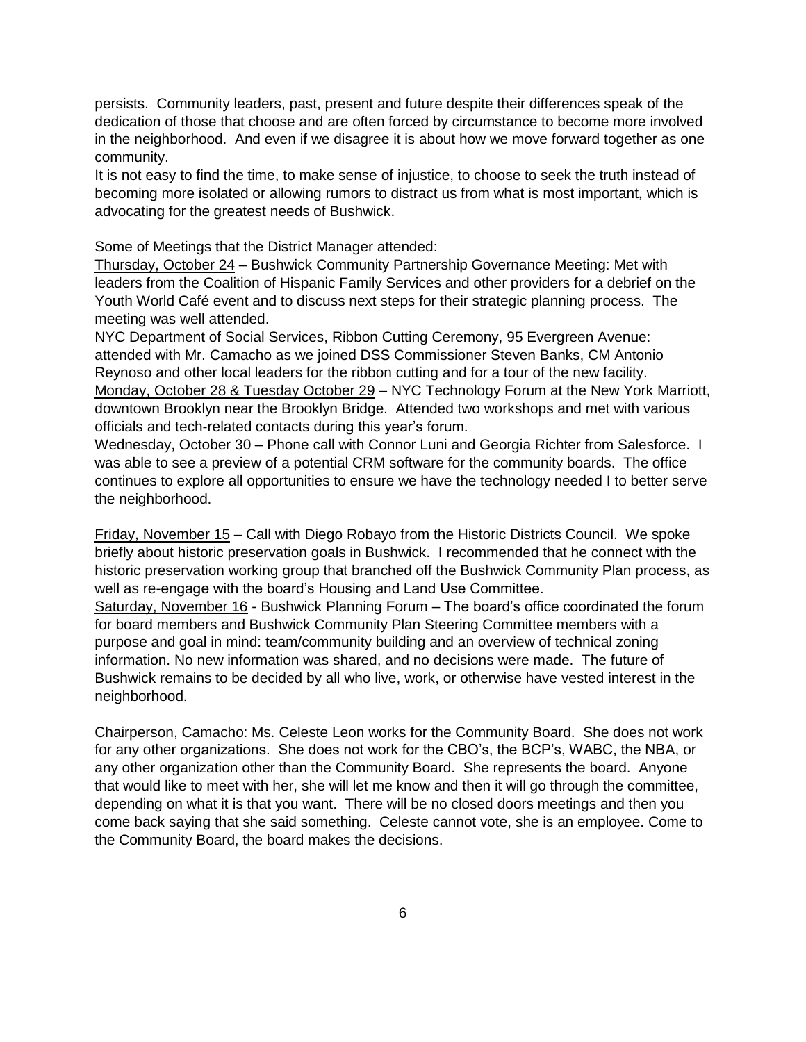persists. Community leaders, past, present and future despite their differences speak of the dedication of those that choose and are often forced by circumstance to become more involved in the neighborhood. And even if we disagree it is about how we move forward together as one community.

It is not easy to find the time, to make sense of injustice, to choose to seek the truth instead of becoming more isolated or allowing rumors to distract us from what is most important, which is advocating for the greatest needs of Bushwick.

Some of Meetings that the District Manager attended:

Thursday, October 24 – Bushwick Community Partnership Governance Meeting: Met with leaders from the Coalition of Hispanic Family Services and other providers for a debrief on the Youth World Café event and to discuss next steps for their strategic planning process. The meeting was well attended.

NYC Department of Social Services, Ribbon Cutting Ceremony, 95 Evergreen Avenue: attended with Mr. Camacho as we joined DSS Commissioner Steven Banks, CM Antonio Reynoso and other local leaders for the ribbon cutting and for a tour of the new facility. Monday, October 28 & Tuesday October 29 - NYC Technology Forum at the New York Marriott, downtown Brooklyn near the Brooklyn Bridge. Attended two workshops and met with various officials and tech-related contacts during this year's forum.

Wednesday, October 30 – Phone call with Connor Luni and Georgia Richter from Salesforce. I was able to see a preview of a potential CRM software for the community boards. The office continues to explore all opportunities to ensure we have the technology needed I to better serve the neighborhood.

Friday, November 15 – Call with Diego Robayo from the Historic Districts Council. We spoke briefly about historic preservation goals in Bushwick. I recommended that he connect with the historic preservation working group that branched off the Bushwick Community Plan process, as well as re-engage with the board's Housing and Land Use Committee.

Saturday, November 16 - Bushwick Planning Forum – The board's office coordinated the forum for board members and Bushwick Community Plan Steering Committee members with a purpose and goal in mind: team/community building and an overview of technical zoning information. No new information was shared, and no decisions were made. The future of Bushwick remains to be decided by all who live, work, or otherwise have vested interest in the neighborhood.

Chairperson, Camacho: Ms. Celeste Leon works for the Community Board. She does not work for any other organizations. She does not work for the CBO's, the BCP's, WABC, the NBA, or any other organization other than the Community Board. She represents the board. Anyone that would like to meet with her, she will let me know and then it will go through the committee, depending on what it is that you want. There will be no closed doors meetings and then you come back saying that she said something. Celeste cannot vote, she is an employee. Come to the Community Board, the board makes the decisions.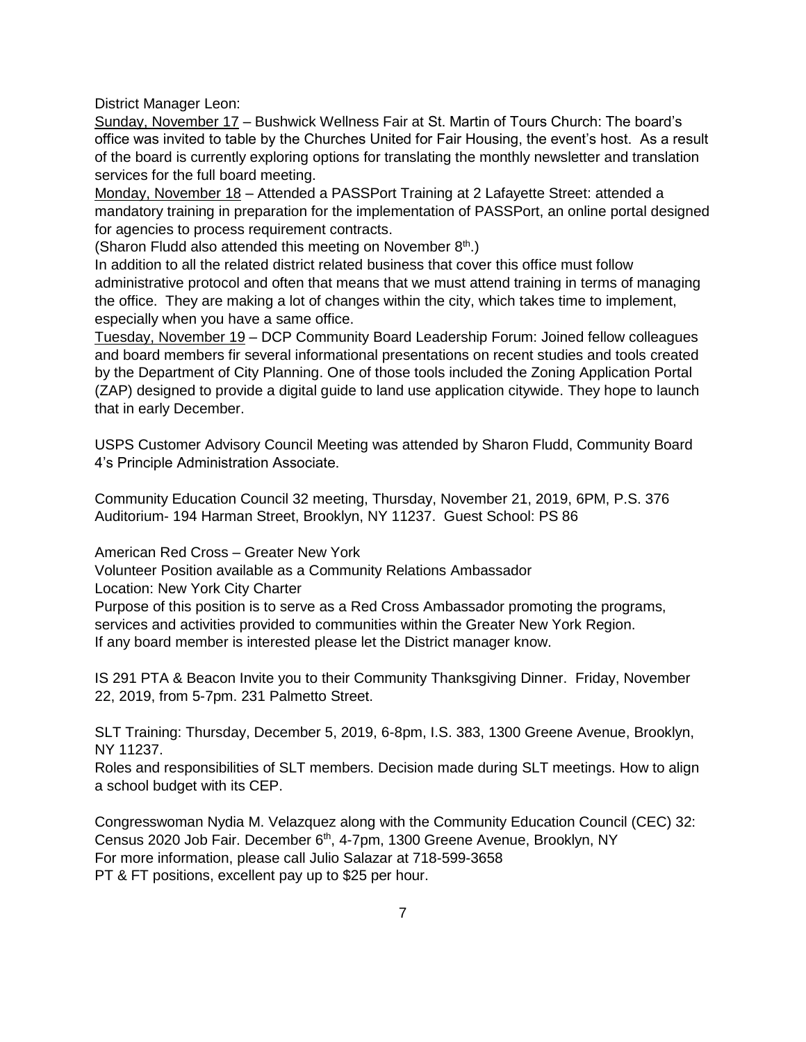District Manager Leon:

Sunday, November 17 – Bushwick Wellness Fair at St. Martin of Tours Church: The board's office was invited to table by the Churches United for Fair Housing, the event's host. As a result of the board is currently exploring options for translating the monthly newsletter and translation services for the full board meeting.

Monday, November 18 – Attended a PASSPort Training at 2 Lafayette Street: attended a mandatory training in preparation for the implementation of PASSPort, an online portal designed for agencies to process requirement contracts.

(Sharon Fludd also attended this meeting on November  $8<sup>th</sup>$ .)

In addition to all the related district related business that cover this office must follow administrative protocol and often that means that we must attend training in terms of managing the office. They are making a lot of changes within the city, which takes time to implement, especially when you have a same office.

Tuesday, November 19 – DCP Community Board Leadership Forum: Joined fellow colleagues and board members fir several informational presentations on recent studies and tools created by the Department of City Planning. One of those tools included the Zoning Application Portal (ZAP) designed to provide a digital guide to land use application citywide. They hope to launch that in early December.

USPS Customer Advisory Council Meeting was attended by Sharon Fludd, Community Board 4's Principle Administration Associate.

Community Education Council 32 meeting, Thursday, November 21, 2019, 6PM, P.S. 376 Auditorium- 194 Harman Street, Brooklyn, NY 11237. Guest School: PS 86

American Red Cross – Greater New York

Volunteer Position available as a Community Relations Ambassador

Location: New York City Charter

Purpose of this position is to serve as a Red Cross Ambassador promoting the programs, services and activities provided to communities within the Greater New York Region. If any board member is interested please let the District manager know.

IS 291 PTA & Beacon Invite you to their Community Thanksgiving Dinner. Friday, November 22, 2019, from 5-7pm. 231 Palmetto Street.

SLT Training: Thursday, December 5, 2019, 6-8pm, I.S. 383, 1300 Greene Avenue, Brooklyn, NY 11237.

Roles and responsibilities of SLT members. Decision made during SLT meetings. How to align a school budget with its CEP.

Congresswoman Nydia M. Velazquez along with the Community Education Council (CEC) 32: Census 2020 Job Fair. December 6<sup>th</sup>, 4-7pm, 1300 Greene Avenue, Brooklyn, NY For more information, please call Julio Salazar at 718-599-3658 PT & FT positions, excellent pay up to \$25 per hour.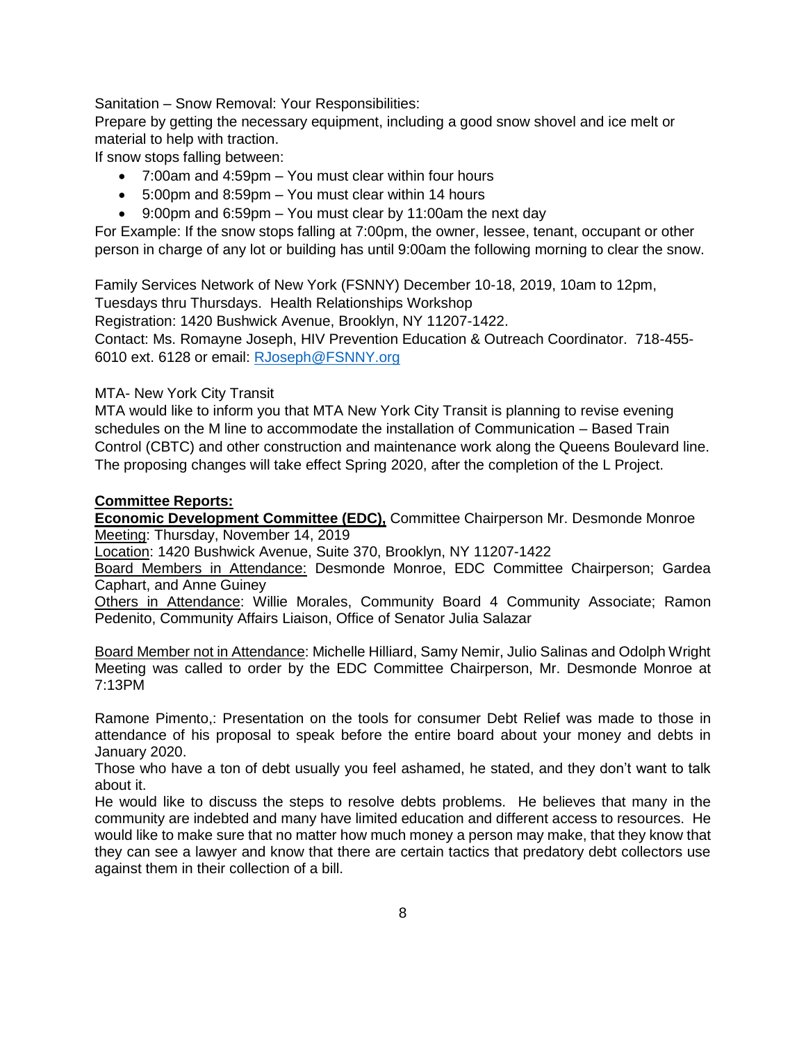Sanitation – Snow Removal: Your Responsibilities:

Prepare by getting the necessary equipment, including a good snow shovel and ice melt or material to help with traction.

If snow stops falling between:

- 7:00am and 4:59pm You must clear within four hours
- 5:00pm and 8:59pm You must clear within 14 hours
- 9:00pm and 6:59pm You must clear by 11:00am the next day

For Example: If the snow stops falling at 7:00pm, the owner, lessee, tenant, occupant or other person in charge of any lot or building has until 9:00am the following morning to clear the snow.

Family Services Network of New York (FSNNY) December 10-18, 2019, 10am to 12pm,

Tuesdays thru Thursdays. Health Relationships Workshop

Registration: 1420 Bushwick Avenue, Brooklyn, NY 11207-1422.

Contact: Ms. Romayne Joseph, HIV Prevention Education & Outreach Coordinator. 718-455- 6010 ext. 6128 or email: [RJoseph@FSNNY.org](mailto:RJoseph@FSNNY.org)

## MTA- New York City Transit

MTA would like to inform you that MTA New York City Transit is planning to revise evening schedules on the M line to accommodate the installation of Communication – Based Train Control (CBTC) and other construction and maintenance work along the Queens Boulevard line. The proposing changes will take effect Spring 2020, after the completion of the L Project.

## **Committee Reports:**

**Economic Development Committee (EDC),** Committee Chairperson Mr. Desmonde Monroe Meeting: Thursday, November 14, 2019

Location: 1420 Bushwick Avenue, Suite 370, Brooklyn, NY 11207-1422

Board Members in Attendance: Desmonde Monroe, EDC Committee Chairperson; Gardea Caphart, and Anne Guiney

Others in Attendance: Willie Morales, Community Board 4 Community Associate; Ramon Pedenito, Community Affairs Liaison, Office of Senator Julia Salazar

Board Member not in Attendance: Michelle Hilliard, Samy Nemir, Julio Salinas and Odolph Wright Meeting was called to order by the EDC Committee Chairperson, Mr. Desmonde Monroe at 7:13PM

Ramone Pimento,: Presentation on the tools for consumer Debt Relief was made to those in attendance of his proposal to speak before the entire board about your money and debts in January 2020.

Those who have a ton of debt usually you feel ashamed, he stated, and they don't want to talk about it.

He would like to discuss the steps to resolve debts problems. He believes that many in the community are indebted and many have limited education and different access to resources. He would like to make sure that no matter how much money a person may make, that they know that they can see a lawyer and know that there are certain tactics that predatory debt collectors use against them in their collection of a bill.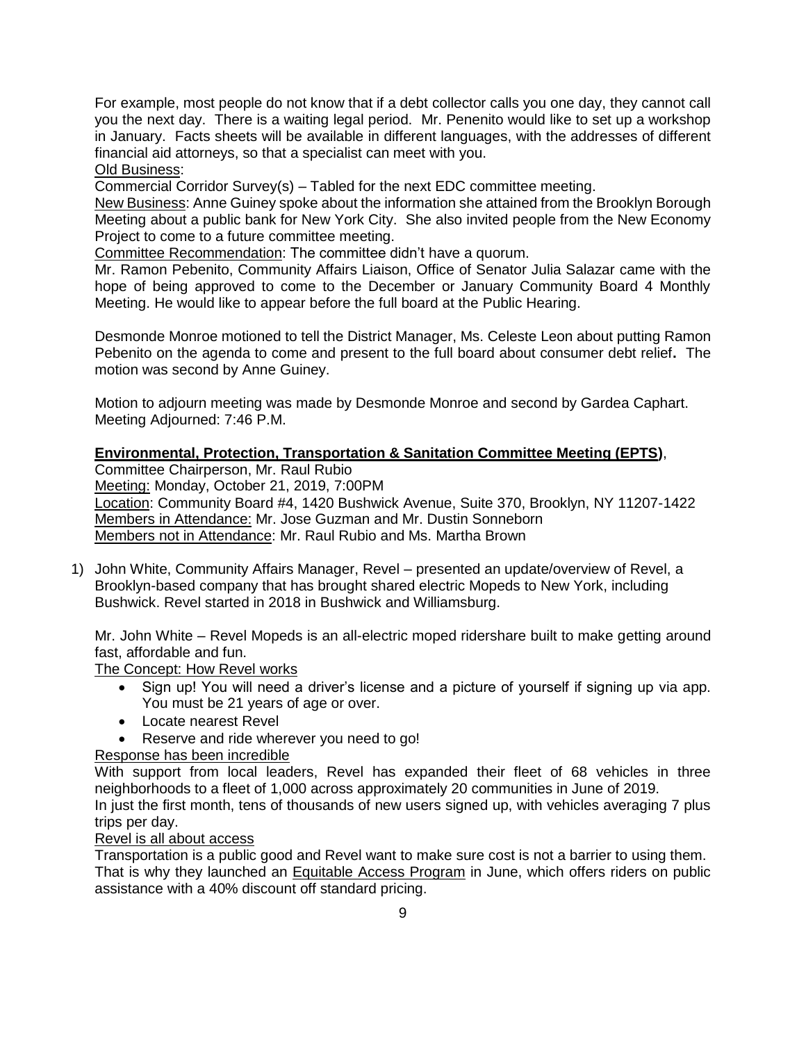For example, most people do not know that if a debt collector calls you one day, they cannot call you the next day. There is a waiting legal period. Mr. Penenito would like to set up a workshop in January. Facts sheets will be available in different languages, with the addresses of different financial aid attorneys, so that a specialist can meet with you.

### Old Business:

Commercial Corridor Survey(s) – Tabled for the next EDC committee meeting.

New Business: Anne Guiney spoke about the information she attained from the Brooklyn Borough Meeting about a public bank for New York City. She also invited people from the New Economy Project to come to a future committee meeting.

Committee Recommendation: The committee didn't have a quorum.

Mr. Ramon Pebenito, Community Affairs Liaison, Office of Senator Julia Salazar came with the hope of being approved to come to the December or January Community Board 4 Monthly Meeting. He would like to appear before the full board at the Public Hearing.

Desmonde Monroe motioned to tell the District Manager, Ms. Celeste Leon about putting Ramon Pebenito on the agenda to come and present to the full board about consumer debt relief**.** The motion was second by Anne Guiney.

Motion to adjourn meeting was made by Desmonde Monroe and second by Gardea Caphart. Meeting Adjourned: 7:46 P.M.

# **Environmental, Protection, Transportation & Sanitation Committee Meeting (EPTS)**,

Committee Chairperson, Mr. Raul Rubio

Meeting: Monday, October 21, 2019, 7:00PM

Location: Community Board #4, 1420 Bushwick Avenue, Suite 370, Brooklyn, NY 11207-1422 Members in Attendance: Mr. Jose Guzman and Mr. Dustin Sonneborn Members not in Attendance: Mr. Raul Rubio and Ms. Martha Brown

1) John White, Community Affairs Manager, Revel – presented an update/overview of Revel, a Brooklyn-based company that has brought shared electric Mopeds to New York, including Bushwick. Revel started in 2018 in Bushwick and Williamsburg.

Mr. John White – Revel Mopeds is an all-electric moped ridershare built to make getting around fast, affordable and fun.

The Concept: How Revel works

- Sign up! You will need a driver's license and a picture of yourself if signing up via app. You must be 21 years of age or over.
- Locate nearest Revel
- Reserve and ride wherever you need to go!

# Response has been incredible

With support from local leaders, Revel has expanded their fleet of 68 vehicles in three neighborhoods to a fleet of 1,000 across approximately 20 communities in June of 2019. In just the first month, tens of thousands of new users signed up, with vehicles averaging 7 plus trips per day.

# Revel is all about access

Transportation is a public good and Revel want to make sure cost is not a barrier to using them. That is why they launched an Equitable Access Program in June, which offers riders on public assistance with a 40% discount off standard pricing.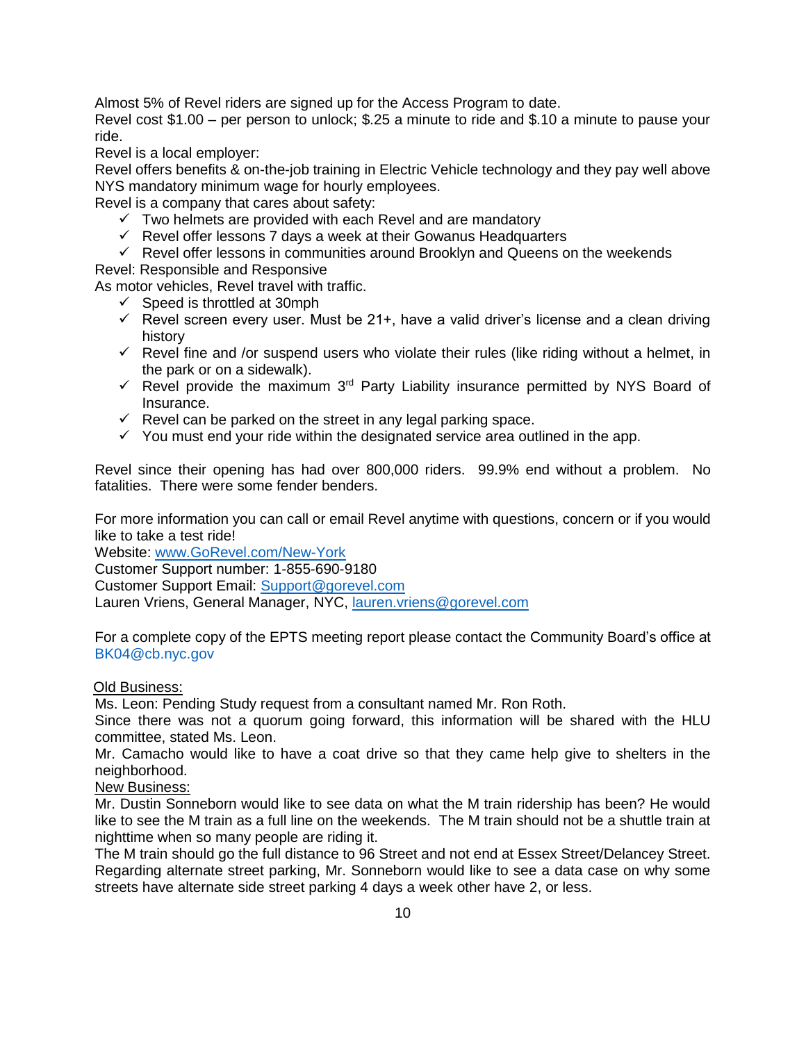Almost 5% of Revel riders are signed up for the Access Program to date.

Revel cost \$1.00 – per person to unlock; \$.25 a minute to ride and \$.10 a minute to pause your ride.

Revel is a local employer:

Revel offers benefits & on-the-job training in Electric Vehicle technology and they pay well above NYS mandatory minimum wage for hourly employees.

Revel is a company that cares about safety:

- $\checkmark$  Two helmets are provided with each Revel and are mandatory
- $\checkmark$  Revel offer lessons 7 days a week at their Gowanus Headquarters
- $\checkmark$  Revel offer lessons in communities around Brooklyn and Queens on the weekends

Revel: Responsible and Responsive

As motor vehicles, Revel travel with traffic.

- $\checkmark$  Speed is throttled at 30mph
- $\checkmark$  Revel screen every user. Must be 21+, have a valid driver's license and a clean driving history
- $\checkmark$  Revel fine and /or suspend users who violate their rules (like riding without a helmet, in the park or on a sidewalk).
- $\checkmark$  Revel provide the maximum 3<sup>rd</sup> Party Liability insurance permitted by NYS Board of Insurance.
- $\checkmark$  Revel can be parked on the street in any legal parking space.
- $\checkmark$  You must end your ride within the designated service area outlined in the app.

Revel since their opening has had over 800,000 riders. 99.9% end without a problem. No fatalities. There were some fender benders.

For more information you can call or email Revel anytime with questions, concern or if you would like to take a test ride!

Website: [www.GoRevel.com/New-York](http://www.gorevel.com/New-York) 

Customer Support number: 1-855-690-9180

Customer Support Email: [Support@gorevel.com](mailto:Support@gorevel.com)

Lauren Vriens, General Manager, NYC, [lauren.vriens@gorevel.com](mailto:lauren.vriens@gorevel.com) 

For a complete copy of the EPTS meeting report please contact the Community Board's office at [BK04@cb.nyc.gov](mailto:BK04@cb.nyc.gov)

### Old Business:

Ms. Leon: Pending Study request from a consultant named Mr. Ron Roth.

Since there was not a quorum going forward, this information will be shared with the HLU committee, stated Ms. Leon.

Mr. Camacho would like to have a coat drive so that they came help give to shelters in the neighborhood.

### New Business:

Mr. Dustin Sonneborn would like to see data on what the M train ridership has been? He would like to see the M train as a full line on the weekends. The M train should not be a shuttle train at nighttime when so many people are riding it.

The M train should go the full distance to 96 Street and not end at Essex Street/Delancey Street. Regarding alternate street parking, Mr. Sonneborn would like to see a data case on why some streets have alternate side street parking 4 days a week other have 2, or less.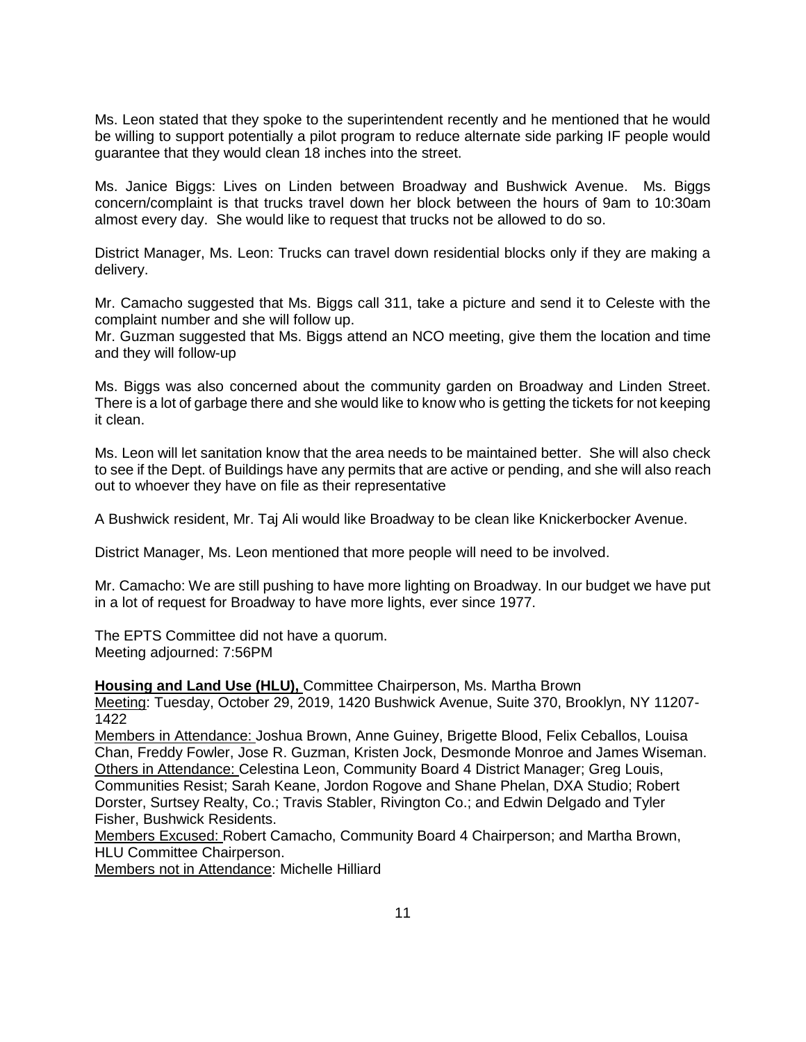Ms. Leon stated that they spoke to the superintendent recently and he mentioned that he would be willing to support potentially a pilot program to reduce alternate side parking IF people would guarantee that they would clean 18 inches into the street.

Ms. Janice Biggs: Lives on Linden between Broadway and Bushwick Avenue. Ms. Biggs concern/complaint is that trucks travel down her block between the hours of 9am to 10:30am almost every day. She would like to request that trucks not be allowed to do so.

District Manager, Ms. Leon: Trucks can travel down residential blocks only if they are making a delivery.

Mr. Camacho suggested that Ms. Biggs call 311, take a picture and send it to Celeste with the complaint number and she will follow up.

Mr. Guzman suggested that Ms. Biggs attend an NCO meeting, give them the location and time and they will follow-up

Ms. Biggs was also concerned about the community garden on Broadway and Linden Street. There is a lot of garbage there and she would like to know who is getting the tickets for not keeping it clean.

Ms. Leon will let sanitation know that the area needs to be maintained better. She will also check to see if the Dept. of Buildings have any permits that are active or pending, and she will also reach out to whoever they have on file as their representative

A Bushwick resident, Mr. Taj Ali would like Broadway to be clean like Knickerbocker Avenue.

District Manager, Ms. Leon mentioned that more people will need to be involved.

Mr. Camacho: We are still pushing to have more lighting on Broadway. In our budget we have put in a lot of request for Broadway to have more lights, ever since 1977.

The EPTS Committee did not have a quorum. Meeting adjourned: 7:56PM

**Housing and Land Use (HLU),** Committee Chairperson, Ms. Martha Brown

Meeting: Tuesday, October 29, 2019, 1420 Bushwick Avenue, Suite 370, Brooklyn, NY 11207- 1422

Members in Attendance: Joshua Brown, Anne Guiney, Brigette Blood, Felix Ceballos, Louisa Chan, Freddy Fowler, Jose R. Guzman, Kristen Jock, Desmonde Monroe and James Wiseman. Others in Attendance: Celestina Leon, Community Board 4 District Manager; Greg Louis, Communities Resist; Sarah Keane, Jordon Rogove and Shane Phelan, DXA Studio; Robert Dorster, Surtsey Realty, Co.; Travis Stabler, Rivington Co.; and Edwin Delgado and Tyler Fisher, Bushwick Residents.

Members Excused: Robert Camacho, Community Board 4 Chairperson; and Martha Brown, HLU Committee Chairperson.

Members not in Attendance: Michelle Hilliard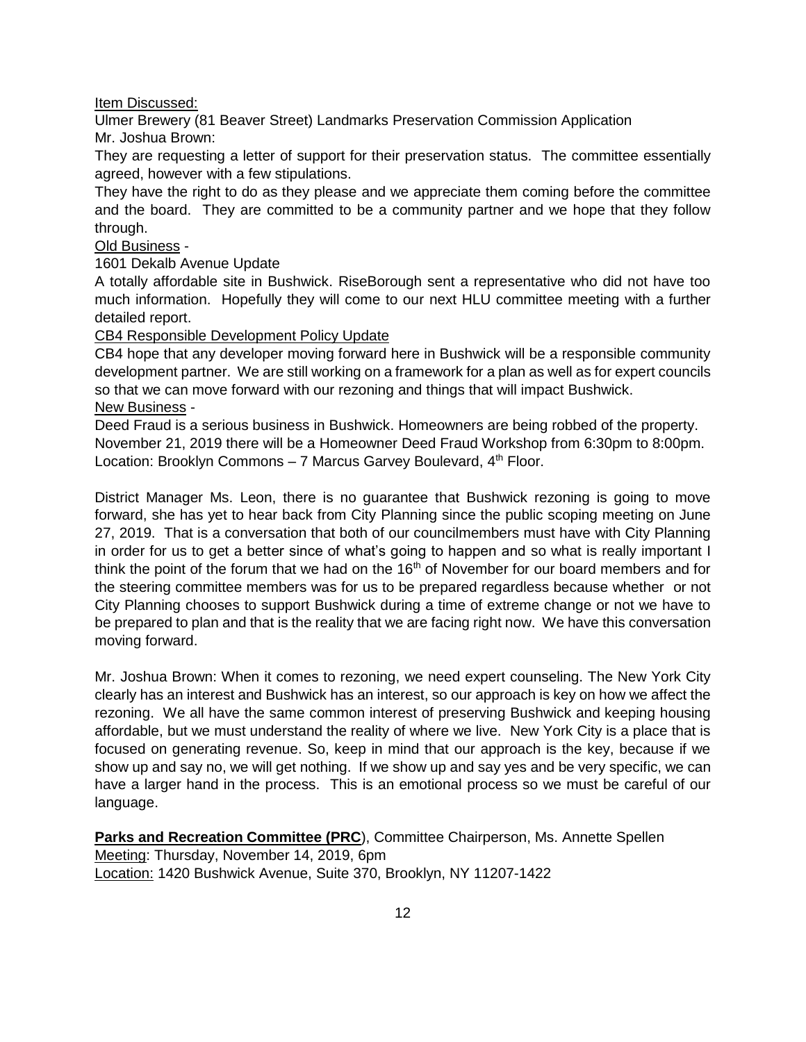Item Discussed:

Ulmer Brewery (81 Beaver Street) Landmarks Preservation Commission Application Mr. Joshua Brown:

They are requesting a letter of support for their preservation status. The committee essentially agreed, however with a few stipulations.

They have the right to do as they please and we appreciate them coming before the committee and the board. They are committed to be a community partner and we hope that they follow through.

## Old Business -

## 1601 Dekalb Avenue Update

A totally affordable site in Bushwick. RiseBorough sent a representative who did not have too much information. Hopefully they will come to our next HLU committee meeting with a further detailed report.

## CB4 Responsible Development Policy Update

CB4 hope that any developer moving forward here in Bushwick will be a responsible community development partner. We are still working on a framework for a plan as well as for expert councils so that we can move forward with our rezoning and things that will impact Bushwick. New Business -

Deed Fraud is a serious business in Bushwick. Homeowners are being robbed of the property. November 21, 2019 there will be a Homeowner Deed Fraud Workshop from 6:30pm to 8:00pm. Location: Brooklyn Commons  $-7$  Marcus Garvey Boulevard,  $4<sup>th</sup>$  Floor.

District Manager Ms. Leon, there is no guarantee that Bushwick rezoning is going to move forward, she has yet to hear back from City Planning since the public scoping meeting on June 27, 2019. That is a conversation that both of our councilmembers must have with City Planning in order for us to get a better since of what's going to happen and so what is really important I think the point of the forum that we had on the  $16<sup>th</sup>$  of November for our board members and for the steering committee members was for us to be prepared regardless because whether or not City Planning chooses to support Bushwick during a time of extreme change or not we have to be prepared to plan and that is the reality that we are facing right now. We have this conversation moving forward.

Mr. Joshua Brown: When it comes to rezoning, we need expert counseling. The New York City clearly has an interest and Bushwick has an interest, so our approach is key on how we affect the rezoning. We all have the same common interest of preserving Bushwick and keeping housing affordable, but we must understand the reality of where we live. New York City is a place that is focused on generating revenue. So, keep in mind that our approach is the key, because if we show up and say no, we will get nothing. If we show up and say yes and be very specific, we can have a larger hand in the process. This is an emotional process so we must be careful of our language.

**Parks and Recreation Committee (PRC)**, Committee Chairperson, Ms. Annette Spellen Meeting: Thursday, November 14, 2019, 6pm Location: 1420 Bushwick Avenue, Suite 370, Brooklyn, NY 11207-1422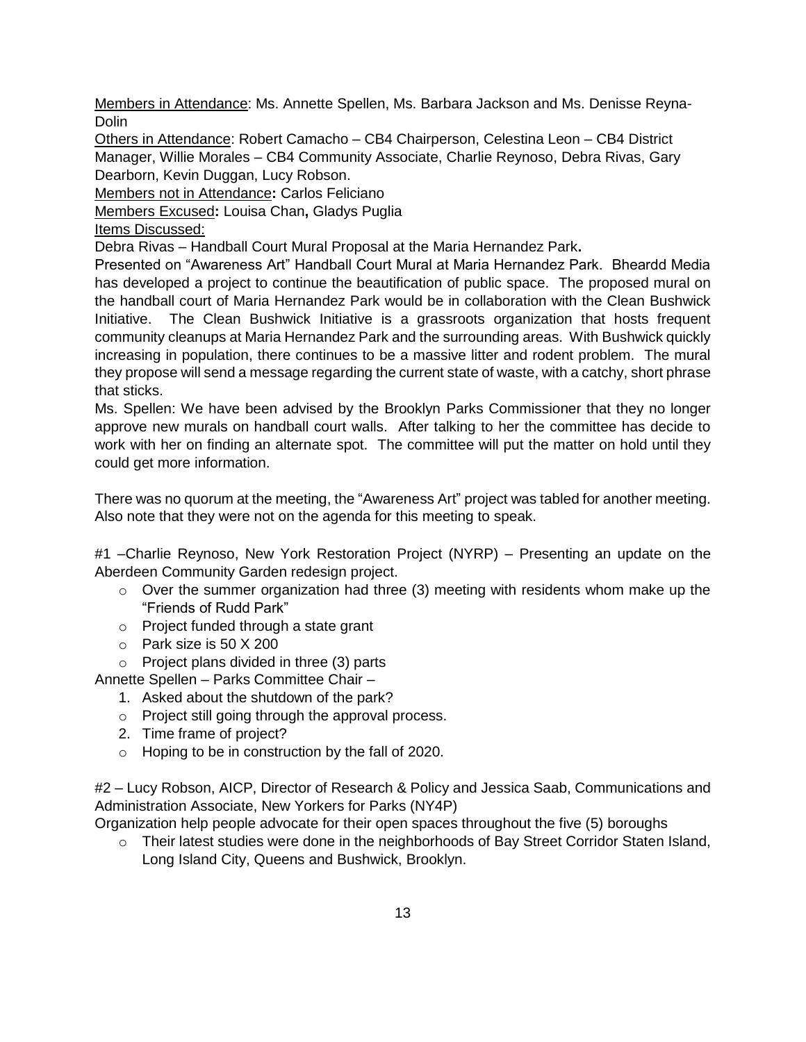Members in Attendance: Ms. Annette Spellen, Ms. Barbara Jackson and Ms. Denisse Reyna-**Dolin** 

Others in Attendance: Robert Camacho – CB4 Chairperson, Celestina Leon – CB4 District Manager, Willie Morales – CB4 Community Associate, Charlie Reynoso, Debra Rivas, Gary Dearborn, Kevin Duggan, Lucy Robson.

Members not in Attendance**:** Carlos Feliciano

Members Excused**:** Louisa Chan**,** Gladys Puglia

Items Discussed:

Debra Rivas – Handball Court Mural Proposal at the Maria Hernandez Park**.** 

Presented on "Awareness Art" Handball Court Mural at Maria Hernandez Park. Bheardd Media has developed a project to continue the beautification of public space. The proposed mural on the handball court of Maria Hernandez Park would be in collaboration with the Clean Bushwick Initiative. The Clean Bushwick Initiative is a grassroots organization that hosts frequent community cleanups at Maria Hernandez Park and the surrounding areas. With Bushwick quickly increasing in population, there continues to be a massive litter and rodent problem. The mural they propose will send a message regarding the current state of waste, with a catchy, short phrase that sticks.

Ms. Spellen: We have been advised by the Brooklyn Parks Commissioner that they no longer approve new murals on handball court walls. After talking to her the committee has decide to work with her on finding an alternate spot. The committee will put the matter on hold until they could get more information.

There was no quorum at the meeting, the "Awareness Art" project was tabled for another meeting. Also note that they were not on the agenda for this meeting to speak.

#1 –Charlie Reynoso, New York Restoration Project (NYRP) – Presenting an update on the Aberdeen Community Garden redesign project.

- $\circ$  Over the summer organization had three (3) meeting with residents whom make up the "Friends of Rudd Park"
- o Project funded through a state grant
- o Park size is 50 X 200
- o Project plans divided in three (3) parts

Annette Spellen – Parks Committee Chair –

- 1. Asked about the shutdown of the park?
- o Project still going through the approval process.
- 2. Time frame of project?
- o Hoping to be in construction by the fall of 2020.

#2 – Lucy Robson, AICP, Director of Research & Policy and Jessica Saab, Communications and Administration Associate, New Yorkers for Parks (NY4P)

Organization help people advocate for their open spaces throughout the five (5) boroughs

 $\circ$  Their latest studies were done in the neighborhoods of Bay Street Corridor Staten Island, Long Island City, Queens and Bushwick, Brooklyn.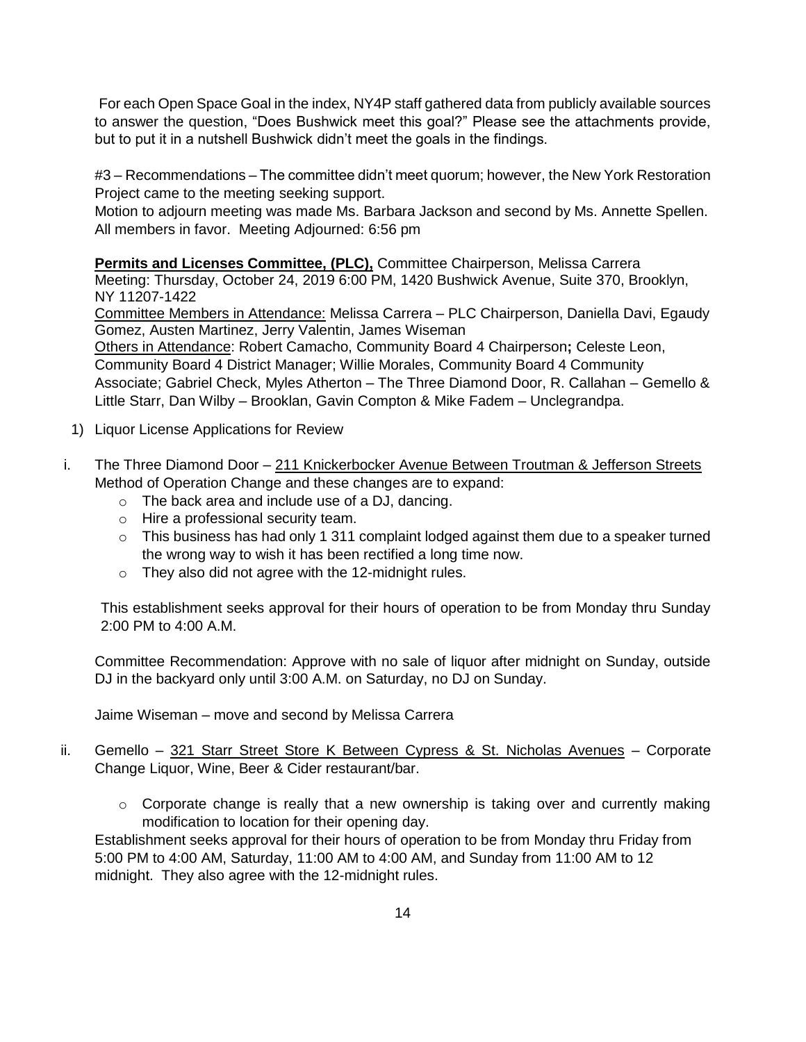For each Open Space Goal in the index, NY4P staff gathered data from publicly available sources to answer the question, "Does Bushwick meet this goal?" Please see the attachments provide, but to put it in a nutshell Bushwick didn't meet the goals in the findings.

#3 – Recommendations – The committee didn't meet quorum; however, the New York Restoration Project came to the meeting seeking support.

Motion to adjourn meeting was made Ms. Barbara Jackson and second by Ms. Annette Spellen. All members in favor. Meeting Adjourned: 6:56 pm

**Permits and Licenses Committee, (PLC),** Committee Chairperson, Melissa Carrera

Meeting: Thursday, October 24, 2019 6:00 PM, 1420 Bushwick Avenue, Suite 370, Brooklyn, NY 11207-1422

Committee Members in Attendance: Melissa Carrera – PLC Chairperson, Daniella Davi, Egaudy Gomez, Austen Martinez, Jerry Valentin, James Wiseman

Others in Attendance: Robert Camacho, Community Board 4 Chairperson**;** Celeste Leon, Community Board 4 District Manager; Willie Morales, Community Board 4 Community Associate; Gabriel Check, Myles Atherton – The Three Diamond Door, R. Callahan – Gemello & Little Starr, Dan Wilby – Brooklan, Gavin Compton & Mike Fadem – Unclegrandpa.

- 1) Liquor License Applications for Review
- i. The Three Diamond Door 211 Knickerbocker Avenue Between Troutman & Jefferson Streets Method of Operation Change and these changes are to expand:
	- o The back area and include use of a DJ, dancing.
	- o Hire a professional security team.
	- o This business has had only 1 311 complaint lodged against them due to a speaker turned the wrong way to wish it has been rectified a long time now.
	- o They also did not agree with the 12-midnight rules.

This establishment seeks approval for their hours of operation to be from Monday thru Sunday 2:00 PM to 4:00 A.M.

Committee Recommendation: Approve with no sale of liquor after midnight on Sunday, outside DJ in the backyard only until 3:00 A.M. on Saturday, no DJ on Sunday.

Jaime Wiseman – move and second by Melissa Carrera

# ii. Gemello – 321 Starr Street Store K Between Cypress & St. Nicholas Avenues – Corporate Change Liquor, Wine, Beer & Cider restaurant/bar.

 $\circ$  Corporate change is really that a new ownership is taking over and currently making modification to location for their opening day.

Establishment seeks approval for their hours of operation to be from Monday thru Friday from 5:00 PM to 4:00 AM, Saturday, 11:00 AM to 4:00 AM, and Sunday from 11:00 AM to 12 midnight. They also agree with the 12-midnight rules.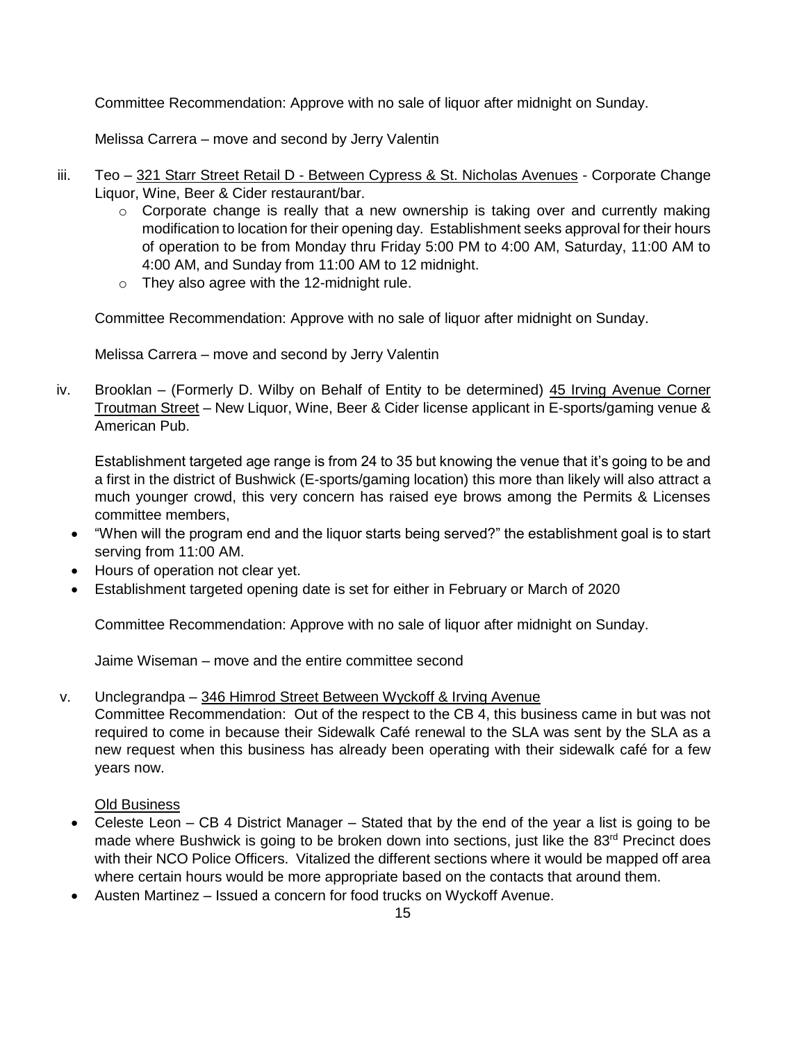Committee Recommendation: Approve with no sale of liquor after midnight on Sunday.

Melissa Carrera – move and second by Jerry Valentin

- iii. Teo 321 Starr Street Retail D Between Cypress & St. Nicholas Avenues Corporate Change Liquor, Wine, Beer & Cider restaurant/bar.
	- $\circ$  Corporate change is really that a new ownership is taking over and currently making modification to location for their opening day. Establishment seeks approval for their hours of operation to be from Monday thru Friday 5:00 PM to 4:00 AM, Saturday, 11:00 AM to 4:00 AM, and Sunday from 11:00 AM to 12 midnight.
	- o They also agree with the 12-midnight rule.

Committee Recommendation: Approve with no sale of liquor after midnight on Sunday.

Melissa Carrera – move and second by Jerry Valentin

iv. Brooklan – (Formerly D. Wilby on Behalf of Entity to be determined) 45 Irving Avenue Corner Troutman Street – New Liquor, Wine, Beer & Cider license applicant in E-sports/gaming venue & American Pub.

Establishment targeted age range is from 24 to 35 but knowing the venue that it's going to be and a first in the district of Bushwick (E-sports/gaming location) this more than likely will also attract a much younger crowd, this very concern has raised eye brows among the Permits & Licenses committee members,

- "When will the program end and the liquor starts being served?" the establishment goal is to start serving from 11:00 AM.
- Hours of operation not clear yet.
- Establishment targeted opening date is set for either in February or March of 2020

Committee Recommendation: Approve with no sale of liquor after midnight on Sunday.

Jaime Wiseman – move and the entire committee second

v. Unclegrandpa – 346 Himrod Street Between Wyckoff & Irving Avenue

Committee Recommendation: Out of the respect to the CB 4, this business came in but was not required to come in because their Sidewalk Café renewal to the SLA was sent by the SLA as a new request when this business has already been operating with their sidewalk café for a few years now.

Old Business

- Celeste Leon CB 4 District Manager Stated that by the end of the year a list is going to be made where Bushwick is going to be broken down into sections, just like the 83<sup>rd</sup> Precinct does with their NCO Police Officers. Vitalized the different sections where it would be mapped off area where certain hours would be more appropriate based on the contacts that around them.
- Austen Martinez Issued a concern for food trucks on Wyckoff Avenue.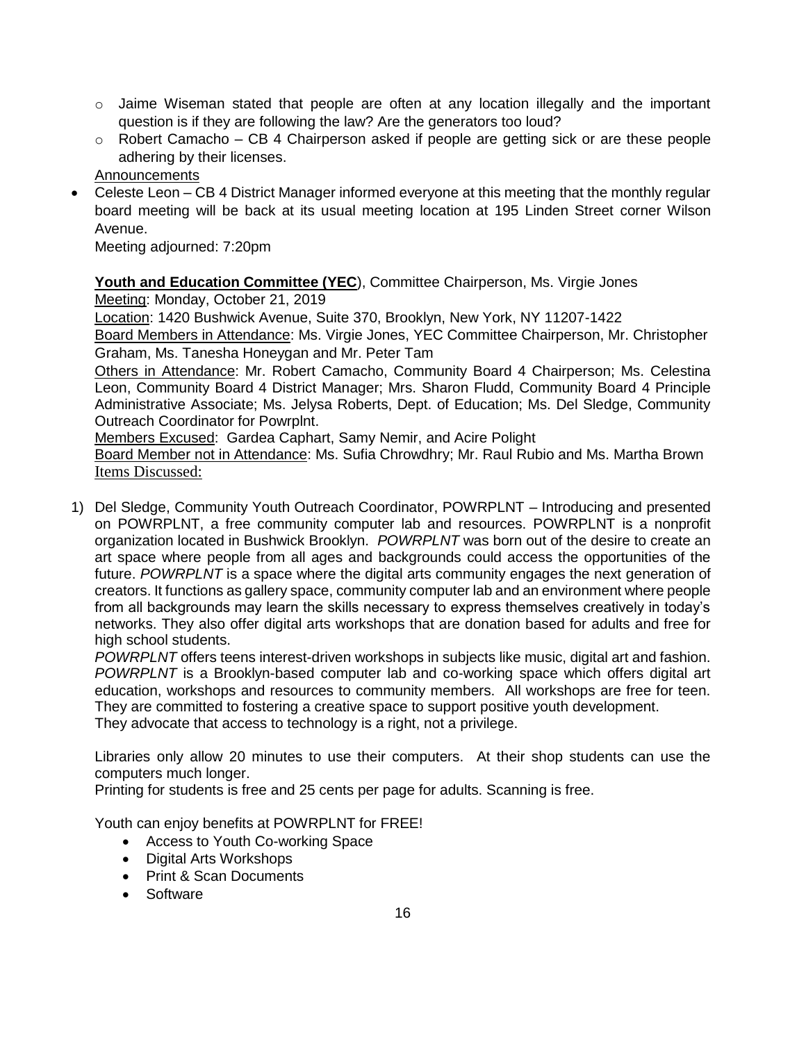- $\circ$  Jaime Wiseman stated that people are often at any location illegally and the important question is if they are following the law? Are the generators too loud?
- $\circ$  Robert Camacho CB 4 Chairperson asked if people are getting sick or are these people adhering by their licenses.

Announcements

• Celeste Leon – CB 4 District Manager informed everyone at this meeting that the monthly regular board meeting will be back at its usual meeting location at 195 Linden Street corner Wilson Avenue.

Meeting adjourned: 7:20pm

**Youth and Education Committee (YEC**), Committee Chairperson, Ms. Virgie Jones

Meeting: Monday, October 21, 2019

Location: 1420 Bushwick Avenue, Suite 370, Brooklyn, New York, NY 11207-1422

Board Members in Attendance: Ms. Virgie Jones, YEC Committee Chairperson, Mr. Christopher Graham, Ms. Tanesha Honeygan and Mr. Peter Tam

Others in Attendance: Mr. Robert Camacho, Community Board 4 Chairperson; Ms. Celestina Leon, Community Board 4 District Manager; Mrs. Sharon Fludd, Community Board 4 Principle Administrative Associate; Ms. Jelysa Roberts, Dept. of Education; Ms. Del Sledge, Community Outreach Coordinator for Powrplnt.

Members Excused: Gardea Caphart, Samy Nemir, and Acire Polight

Board Member not in Attendance: Ms. Sufia Chrowdhry; Mr. Raul Rubio and Ms. Martha Brown Items Discussed:

1) Del Sledge, Community Youth Outreach Coordinator, POWRPLNT – Introducing and presented on POWRPLNT, a free community computer lab and resources. POWRPLNT is a nonprofit organization located in Bushwick Brooklyn. *POWRPLNT* was born out of the desire to create an art space where people from all ages and backgrounds could access the opportunities of the future. *POWRPLNT* is a space where the digital arts community engages the next generation of creators. It functions as gallery space, community computer lab and an environment where people from all backgrounds may learn the skills necessary to express themselves creatively in today's networks. They also offer digital arts workshops that are donation based for adults and free for high school students.

*POWRPLNT* offers teens interest-driven workshops in subjects like music, digital art and fashion. *POWRPLNT* is a Brooklyn-based computer lab and co-working space which offers digital art education, workshops and resources to community members. All workshops are free for teen. They are committed to fostering a creative space to support positive youth development. They advocate that access to technology is a right, not a privilege.

Libraries only allow 20 minutes to use their computers. At their shop students can use the computers much longer.

Printing for students is free and 25 cents per page for adults. Scanning is free.

Youth can enjoy benefits at POWRPLNT for FREE!

- Access to Youth Co-working Space
- Digital Arts Workshops
- Print & Scan Documents
- Software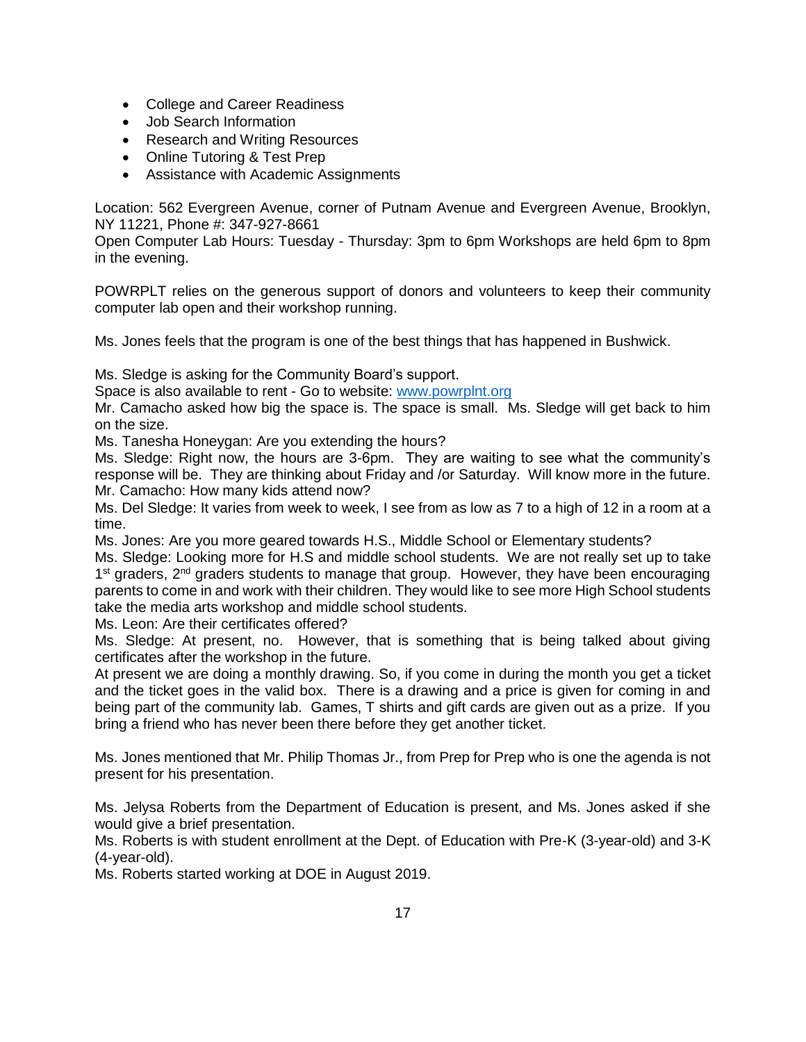- College and Career Readiness
- Job Search Information
- Research and Writing Resources
- Online Tutoring & Test Prep
- Assistance with Academic Assignments

Location: 562 Evergreen Avenue, corner of Putnam Avenue and Evergreen Avenue, Brooklyn, NY 11221, Phone #: 347-927-8661

Open Computer Lab Hours: Tuesday - Thursday: 3pm to 6pm Workshops are held 6pm to 8pm in the evening.

POWRPLT relies on the generous support of donors and volunteers to keep their community computer lab open and their workshop running.

Ms. Jones feels that the program is one of the best things that has happened in Bushwick.

Ms. Sledge is asking for the Community Board's support.

Space is also available to rent - Go to website: [www.powrplnt.org](http://www.powrplnt.org/)

Mr. Camacho asked how big the space is. The space is small. Ms. Sledge will get back to him on the size.

Ms. Tanesha Honeygan: Are you extending the hours?

Ms. Sledge: Right now, the hours are 3-6pm. They are waiting to see what the community's response will be. They are thinking about Friday and /or Saturday. Will know more in the future. Mr. Camacho: How many kids attend now?

Ms. Del Sledge: It varies from week to week, I see from as low as 7 to a high of 12 in a room at a time.

Ms. Jones: Are you more geared towards H.S., Middle School or Elementary students?

Ms. Sledge: Looking more for H.S and middle school students. We are not really set up to take 1<sup>st</sup> graders, 2<sup>nd</sup> graders students to manage that group. However, they have been encouraging parents to come in and work with their children. They would like to see more High School students take the media arts workshop and middle school students.

Ms. Leon: Are their certificates offered?

Ms. Sledge: At present, no. However, that is something that is being talked about giving certificates after the workshop in the future.

At present we are doing a monthly drawing. So, if you come in during the month you get a ticket and the ticket goes in the valid box. There is a drawing and a price is given for coming in and being part of the community lab. Games, T shirts and gift cards are given out as a prize. If you bring a friend who has never been there before they get another ticket.

Ms. Jones mentioned that Mr. Philip Thomas Jr., from Prep for Prep who is one the agenda is not present for his presentation.

Ms. Jelysa Roberts from the Department of Education is present, and Ms. Jones asked if she would give a brief presentation.

Ms. Roberts is with student enrollment at the Dept. of Education with Pre-K (3-year-old) and 3-K (4-year-old).

Ms. Roberts started working at DOE in August 2019.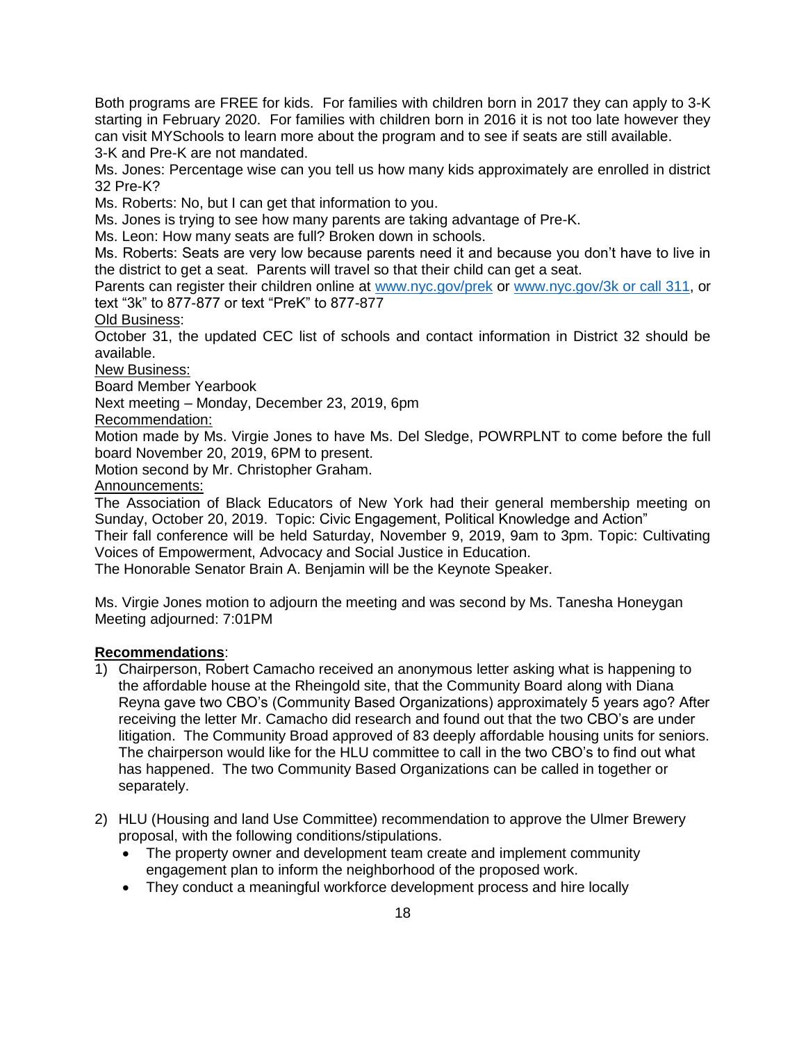Both programs are FREE for kids. For families with children born in 2017 they can apply to 3-K starting in February 2020. For families with children born in 2016 it is not too late however they can visit MYSchools to learn more about the program and to see if seats are still available. 3-K and Pre-K are not mandated.

Ms. Jones: Percentage wise can you tell us how many kids approximately are enrolled in district 32 Pre-K?

Ms. Roberts: No, but I can get that information to you.

Ms. Jones is trying to see how many parents are taking advantage of Pre-K.

Ms. Leon: How many seats are full? Broken down in schools.

Ms. Roberts: Seats are very low because parents need it and because you don't have to live in the district to get a seat. Parents will travel so that their child can get a seat.

Parents can register their children online at [www.nyc.gov/prek](http://www.nyc.gov/prek) or [www.nyc.gov/3k or call 311,](http://www.nyc.gov/3k%20or%20call%20311) or text "3k" to 877-877 or text "PreK" to 877-877

Old Business:

October 31, the updated CEC list of schools and contact information in District 32 should be available.

New Business:

Board Member Yearbook

Next meeting – Monday, December 23, 2019, 6pm

Recommendation:

Motion made by Ms. Virgie Jones to have Ms. Del Sledge, POWRPLNT to come before the full board November 20, 2019, 6PM to present.

Motion second by Mr. Christopher Graham.

Announcements:

The Association of Black Educators of New York had their general membership meeting on Sunday, October 20, 2019. Topic: Civic Engagement, Political Knowledge and Action"

Their fall conference will be held Saturday, November 9, 2019, 9am to 3pm. Topic: Cultivating Voices of Empowerment, Advocacy and Social Justice in Education.

The Honorable Senator Brain A. Benjamin will be the Keynote Speaker.

Ms. Virgie Jones motion to adjourn the meeting and was second by Ms. Tanesha Honeygan Meeting adjourned: 7:01PM

### **Recommendations**:

- 1) Chairperson, Robert Camacho received an anonymous letter asking what is happening to the affordable house at the Rheingold site, that the Community Board along with Diana Reyna gave two CBO's (Community Based Organizations) approximately 5 years ago? After receiving the letter Mr. Camacho did research and found out that the two CBO's are under litigation. The Community Broad approved of 83 deeply affordable housing units for seniors. The chairperson would like for the HLU committee to call in the two CBO's to find out what has happened. The two Community Based Organizations can be called in together or separately.
- 2) HLU (Housing and land Use Committee) recommendation to approve the Ulmer Brewery proposal, with the following conditions/stipulations.
	- The property owner and development team create and implement community engagement plan to inform the neighborhood of the proposed work.
	- They conduct a meaningful workforce development process and hire locally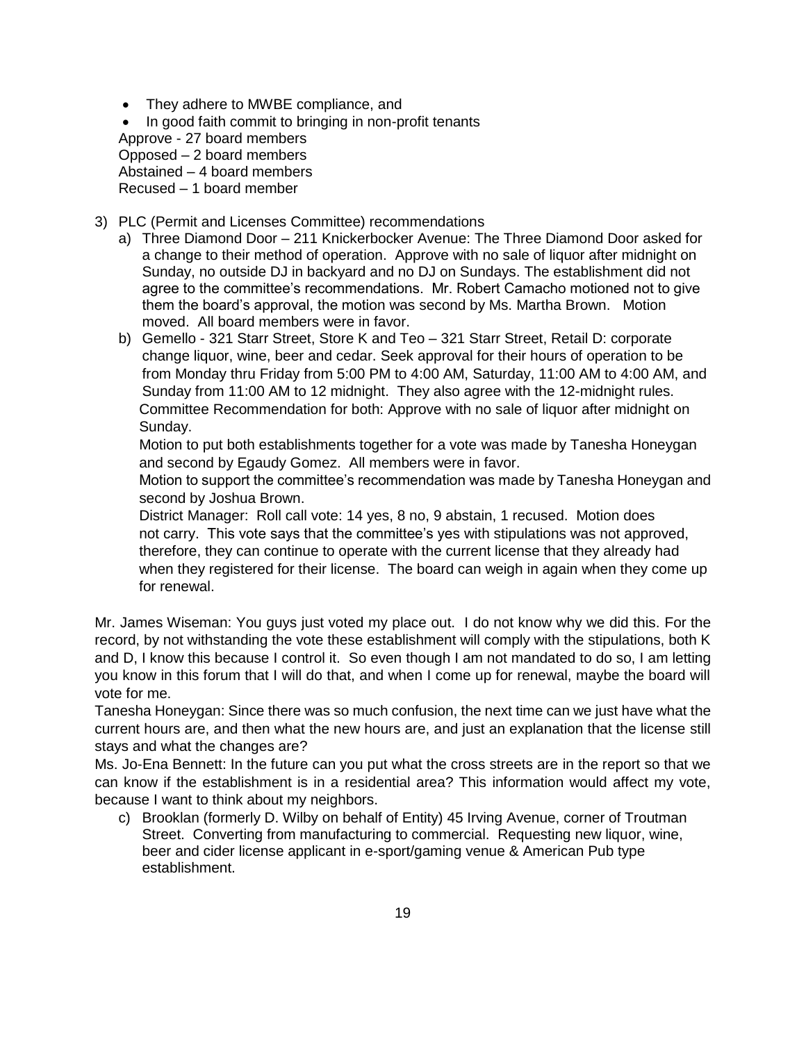• They adhere to MWBE compliance, and

• In good faith commit to bringing in non-profit tenants Approve - 27 board members Opposed – 2 board members Abstained – 4 board members Recused – 1 board member

- 3) PLC (Permit and Licenses Committee) recommendations
	- a) Three Diamond Door 211 Knickerbocker Avenue: The Three Diamond Door asked for a change to their method of operation. Approve with no sale of liquor after midnight on Sunday, no outside DJ in backyard and no DJ on Sundays. The establishment did not agree to the committee's recommendations. Mr. Robert Camacho motioned not to give them the board's approval, the motion was second by Ms. Martha Brown. Motion moved. All board members were in favor.
	- b) Gemello 321 Starr Street, Store K and Teo 321 Starr Street, Retail D: corporate change liquor, wine, beer and cedar. Seek approval for their hours of operation to be from Monday thru Friday from 5:00 PM to 4:00 AM, Saturday, 11:00 AM to 4:00 AM, and Sunday from 11:00 AM to 12 midnight. They also agree with the 12-midnight rules. Committee Recommendation for both: Approve with no sale of liquor after midnight on Sunday.

 Motion to put both establishments together for a vote was made by Tanesha Honeygan and second by Egaudy Gomez. All members were in favor.

 Motion to support the committee's recommendation was made by Tanesha Honeygan and second by Joshua Brown.

 District Manager: Roll call vote: 14 yes, 8 no, 9 abstain, 1 recused. Motion does not carry. This vote says that the committee's yes with stipulations was not approved, therefore, they can continue to operate with the current license that they already had when they registered for their license. The board can weigh in again when they come up for renewal.

Mr. James Wiseman: You guys just voted my place out. I do not know why we did this. For the record, by not withstanding the vote these establishment will comply with the stipulations, both K and D, I know this because I control it. So even though I am not mandated to do so, I am letting you know in this forum that I will do that, and when I come up for renewal, maybe the board will vote for me.

Tanesha Honeygan: Since there was so much confusion, the next time can we just have what the current hours are, and then what the new hours are, and just an explanation that the license still stays and what the changes are?

Ms. Jo-Ena Bennett: In the future can you put what the cross streets are in the report so that we can know if the establishment is in a residential area? This information would affect my vote, because I want to think about my neighbors.

c) Brooklan (formerly D. Wilby on behalf of Entity) 45 Irving Avenue, corner of Troutman Street. Converting from manufacturing to commercial. Requesting new liquor, wine, beer and cider license applicant in e-sport/gaming venue & American Pub type establishment.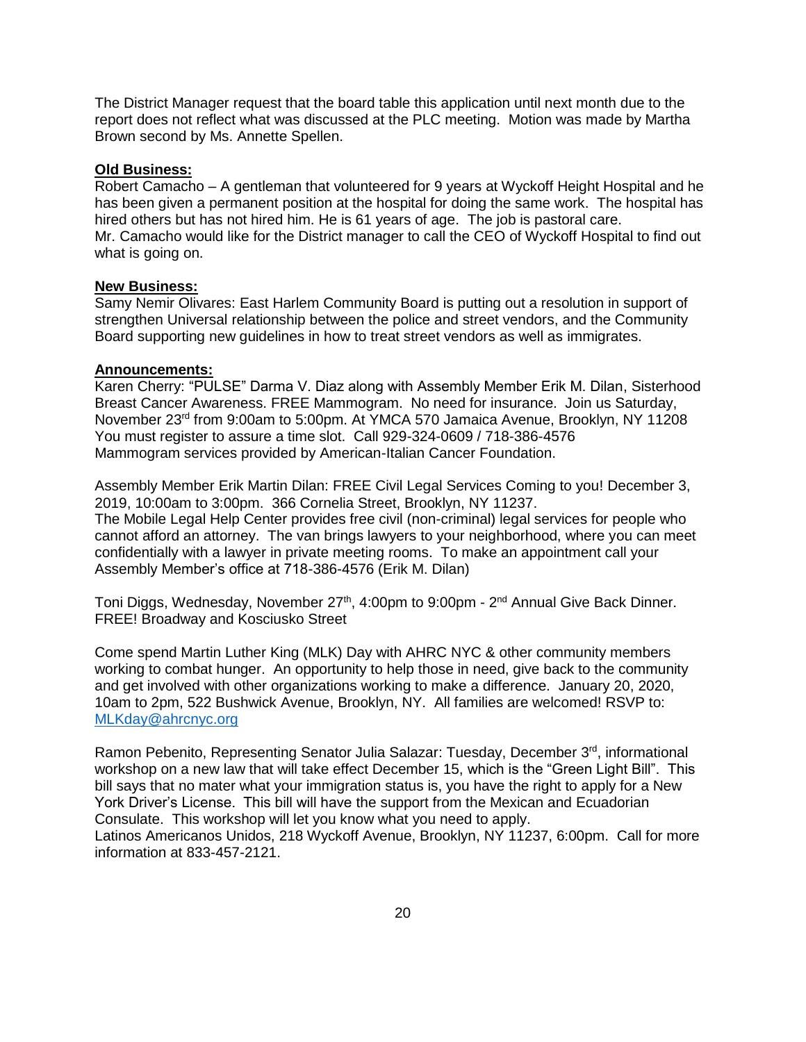The District Manager request that the board table this application until next month due to the report does not reflect what was discussed at the PLC meeting. Motion was made by Martha Brown second by Ms. Annette Spellen.

#### **Old Business:**

Robert Camacho – A gentleman that volunteered for 9 years at Wyckoff Height Hospital and he has been given a permanent position at the hospital for doing the same work. The hospital has hired others but has not hired him. He is 61 years of age. The job is pastoral care. Mr. Camacho would like for the District manager to call the CEO of Wyckoff Hospital to find out what is going on.

#### **New Business:**

Samy Nemir Olivares: East Harlem Community Board is putting out a resolution in support of strengthen Universal relationship between the police and street vendors, and the Community Board supporting new guidelines in how to treat street vendors as well as immigrates.

#### **Announcements:**

Karen Cherry: "PULSE" Darma V. Diaz along with Assembly Member Erik M. Dilan, Sisterhood Breast Cancer Awareness. FREE Mammogram. No need for insurance. Join us Saturday, November 23<sup>rd</sup> from 9:00am to 5:00pm. At YMCA 570 Jamaica Avenue, Brooklyn, NY 11208 You must register to assure a time slot. Call 929-324-0609 / 718-386-4576 Mammogram services provided by American-Italian Cancer Foundation.

Assembly Member Erik Martin Dilan: FREE Civil Legal Services Coming to you! December 3, 2019, 10:00am to 3:00pm. 366 Cornelia Street, Brooklyn, NY 11237. The Mobile Legal Help Center provides free civil (non-criminal) legal services for people who cannot afford an attorney. The van brings lawyers to your neighborhood, where you can meet confidentially with a lawyer in private meeting rooms. To make an appointment call your Assembly Member's office at 718-386-4576 (Erik M. Dilan)

Toni Diggs, Wednesday, November 27<sup>th</sup>, 4:00pm to 9:00pm - 2<sup>nd</sup> Annual Give Back Dinner. FREE! Broadway and Kosciusko Street

Come spend Martin Luther King (MLK) Day with AHRC NYC & other community members working to combat hunger. An opportunity to help those in need, give back to the community and get involved with other organizations working to make a difference. January 20, 2020, 10am to 2pm, 522 Bushwick Avenue, Brooklyn, NY. All families are welcomed! RSVP to: [MLKday@ahrcnyc.org](mailto:MLKday@ahrcnyc.org)

Ramon Pebenito, Representing Senator Julia Salazar: Tuesday, December 3<sup>rd</sup>, informational workshop on a new law that will take effect December 15, which is the "Green Light Bill". This bill says that no mater what your immigration status is, you have the right to apply for a New York Driver's License. This bill will have the support from the Mexican and Ecuadorian Consulate. This workshop will let you know what you need to apply.

Latinos Americanos Unidos, 218 Wyckoff Avenue, Brooklyn, NY 11237, 6:00pm. Call for more information at 833-457-2121.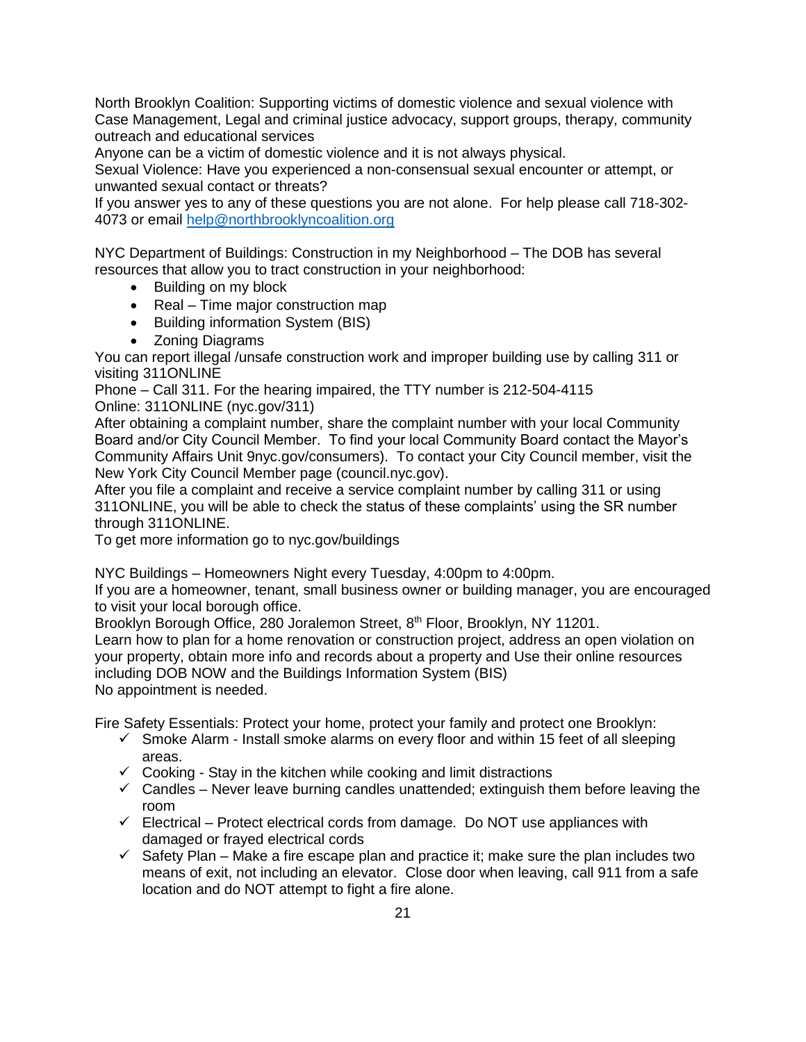North Brooklyn Coalition: Supporting victims of domestic violence and sexual violence with Case Management, Legal and criminal justice advocacy, support groups, therapy, community outreach and educational services

Anyone can be a victim of domestic violence and it is not always physical.

Sexual Violence: Have you experienced a non-consensual sexual encounter or attempt, or unwanted sexual contact or threats?

If you answer yes to any of these questions you are not alone. For help please call 718-302- 4073 or email [help@northbrooklyncoalition.org](mailto:help@northbrooklyncoalition.org)

NYC Department of Buildings: Construction in my Neighborhood – The DOB has several resources that allow you to tract construction in your neighborhood:

- Building on my block
- Real Time major construction map
- Building information System (BIS)
- Zoning Diagrams

You can report illegal /unsafe construction work and improper building use by calling 311 or visiting 311ONLINE

Phone – Call 311. For the hearing impaired, the TTY number is 212-504-4115 Online: 311ONLINE (nyc.gov/311)

After obtaining a complaint number, share the complaint number with your local Community Board and/or City Council Member. To find your local Community Board contact the Mayor's Community Affairs Unit 9nyc.gov/consumers). To contact your City Council member, visit the New York City Council Member page (council.nyc.gov).

After you file a complaint and receive a service complaint number by calling 311 or using 311ONLINE, you will be able to check the status of these complaints' using the SR number through 311ONLINE.

To get more information go to nyc.gov/buildings

NYC Buildings – Homeowners Night every Tuesday, 4:00pm to 4:00pm.

If you are a homeowner, tenant, small business owner or building manager, you are encouraged to visit your local borough office.

Brooklyn Borough Office, 280 Joralemon Street, 8<sup>th</sup> Floor, Brooklyn, NY 11201.

Learn how to plan for a home renovation or construction project, address an open violation on your property, obtain more info and records about a property and Use their online resources including DOB NOW and the Buildings Information System (BIS) No appointment is needed.

Fire Safety Essentials: Protect your home, protect your family and protect one Brooklyn:

- $\checkmark$  Smoke Alarm Install smoke alarms on every floor and within 15 feet of all sleeping areas.
- $\checkmark$  Cooking Stay in the kitchen while cooking and limit distractions
- $\checkmark$  Candles Never leave burning candles unattended; extinguish them before leaving the room
- $\checkmark$  Electrical Protect electrical cords from damage. Do NOT use appliances with damaged or frayed electrical cords
- $\checkmark$  Safety Plan Make a fire escape plan and practice it; make sure the plan includes two means of exit, not including an elevator. Close door when leaving, call 911 from a safe location and do NOT attempt to fight a fire alone.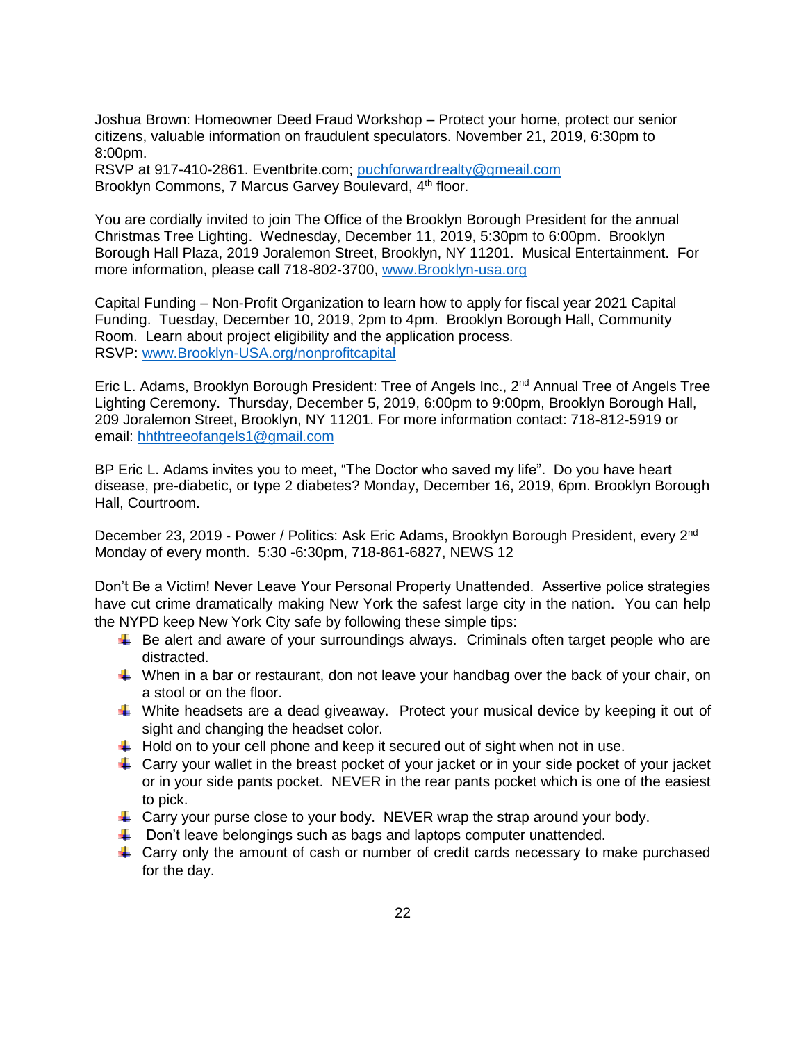Joshua Brown: Homeowner Deed Fraud Workshop – Protect your home, protect our senior citizens, valuable information on fraudulent speculators. November 21, 2019, 6:30pm to 8:00pm.

RSVP at 917-410-2861. Eventbrite.com; [puchforwardrealty@gmeail.com](mailto:puchforwardrealty@gmeail.com) Brooklyn Commons, 7 Marcus Garvey Boulevard, 4<sup>th</sup> floor.

You are cordially invited to join The Office of the Brooklyn Borough President for the annual Christmas Tree Lighting. Wednesday, December 11, 2019, 5:30pm to 6:00pm. Brooklyn Borough Hall Plaza, 2019 Joralemon Street, Brooklyn, NY 11201. Musical Entertainment. For more information, please call 718-802-3700, [www.Brooklyn-usa.org](http://www.brooklyn-usa.org/)

Capital Funding – Non-Profit Organization to learn how to apply for fiscal year 2021 Capital Funding. Tuesday, December 10, 2019, 2pm to 4pm. Brooklyn Borough Hall, Community Room. Learn about project eligibility and the application process. RSVP: [www.Brooklyn-USA.org/nonprofitcapital](http://www.brooklyn-usa.org/nonprofitcapital) 

Eric L. Adams, Brooklyn Borough President: Tree of Angels Inc., 2<sup>nd</sup> Annual Tree of Angels Tree Lighting Ceremony. Thursday, December 5, 2019, 6:00pm to 9:00pm, Brooklyn Borough Hall, 209 Joralemon Street, Brooklyn, NY 11201. For more information contact: 718-812-5919 or email: [hhthtreeofangels1@gmail.com](mailto:hhthtreeofangels1@gmail.com)

BP Eric L. Adams invites you to meet, "The Doctor who saved my life". Do you have heart disease, pre-diabetic, or type 2 diabetes? Monday, December 16, 2019, 6pm. Brooklyn Borough Hall, Courtroom.

December 23, 2019 - Power / Politics: Ask Eric Adams, Brooklyn Borough President, every 2<sup>nd</sup> Monday of every month. 5:30 -6:30pm, 718-861-6827, NEWS 12

Don't Be a Victim! Never Leave Your Personal Property Unattended. Assertive police strategies have cut crime dramatically making New York the safest large city in the nation. You can help the NYPD keep New York City safe by following these simple tips:

- $\ddot{\bullet}$  Be alert and aware of your surroundings always. Criminals often target people who are distracted.
- $\downarrow$  When in a bar or restaurant, don not leave your handbag over the back of your chair, on a stool or on the floor.
- White headsets are a dead giveaway. Protect your musical device by keeping it out of sight and changing the headset color.
- $\downarrow$  Hold on to your cell phone and keep it secured out of sight when not in use.
- $\ddot{\phantom{1}}$  Carry your wallet in the breast pocket of your jacket or in your side pocket of your jacket or in your side pants pocket. NEVER in the rear pants pocket which is one of the easiest to pick.
- $\downarrow$  Carry your purse close to your body. NEVER wrap the strap around your body.
- $\ddot{\bullet}$  Don't leave belongings such as bags and laptops computer unattended.
- $\ddot{\phantom{1}}$  Carry only the amount of cash or number of credit cards necessary to make purchased for the day.